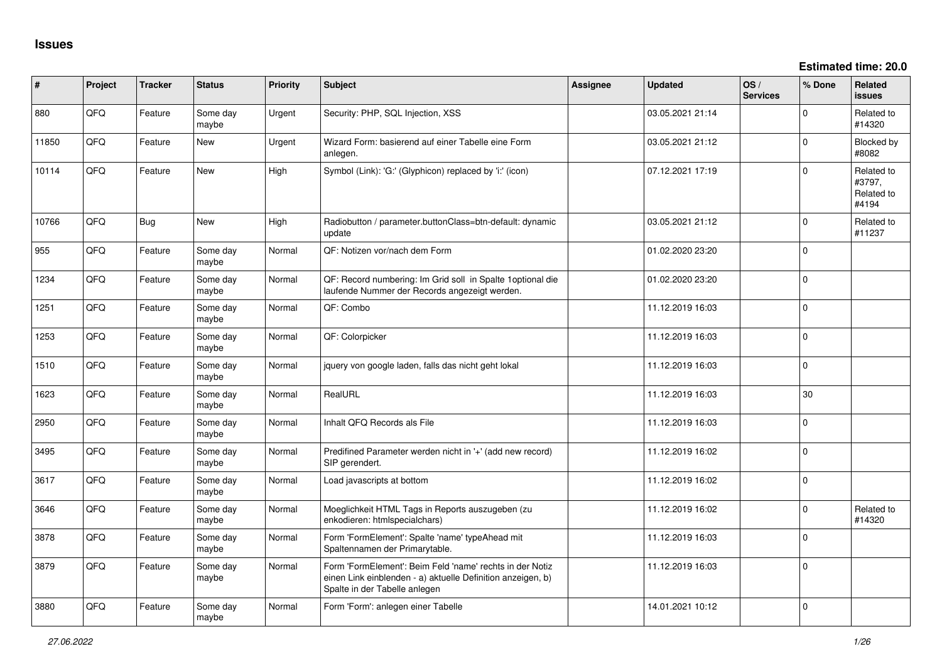**Estimated time: 20.0**

| ∦     | Project | <b>Tracker</b> | <b>Status</b>     | <b>Priority</b> | <b>Subject</b>                                                                                                                                           | <b>Assignee</b> | <b>Updated</b>   | OS/<br><b>Services</b> | % Done       | Related<br>issues                           |
|-------|---------|----------------|-------------------|-----------------|----------------------------------------------------------------------------------------------------------------------------------------------------------|-----------------|------------------|------------------------|--------------|---------------------------------------------|
| 880   | QFQ     | Feature        | Some day<br>maybe | Urgent          | Security: PHP, SQL Injection, XSS                                                                                                                        |                 | 03.05.2021 21:14 |                        | $\Omega$     | Related to<br>#14320                        |
| 11850 | QFQ     | Feature        | New               | Urgent          | Wizard Form: basierend auf einer Tabelle eine Form<br>anlegen.                                                                                           |                 | 03.05.2021 21:12 |                        | $\Omega$     | <b>Blocked by</b><br>#8082                  |
| 10114 | QFQ     | Feature        | <b>New</b>        | High            | Symbol (Link): 'G:' (Glyphicon) replaced by 'i:' (icon)                                                                                                  |                 | 07.12.2021 17:19 |                        | $\Omega$     | Related to<br>#3797,<br>Related to<br>#4194 |
| 10766 | QFQ     | Bug            | <b>New</b>        | High            | Radiobutton / parameter.buttonClass=btn-default: dynamic<br>update                                                                                       |                 | 03.05.2021 21:12 |                        | $\Omega$     | Related to<br>#11237                        |
| 955   | QFQ     | Feature        | Some day<br>maybe | Normal          | QF: Notizen vor/nach dem Form                                                                                                                            |                 | 01.02.2020 23:20 |                        | $\mathbf{0}$ |                                             |
| 1234  | QFQ     | Feature        | Some day<br>maybe | Normal          | QF: Record numbering: Im Grid soll in Spalte 1 optional die<br>laufende Nummer der Records angezeigt werden.                                             |                 | 01.02.2020 23:20 |                        | $\Omega$     |                                             |
| 1251  | QFQ     | Feature        | Some day<br>maybe | Normal          | QF: Combo                                                                                                                                                |                 | 11.12.2019 16:03 |                        | $\mathbf 0$  |                                             |
| 1253  | QFQ     | Feature        | Some day<br>maybe | Normal          | QF: Colorpicker                                                                                                                                          |                 | 11.12.2019 16:03 |                        | $\mathbf 0$  |                                             |
| 1510  | QFQ     | Feature        | Some day<br>maybe | Normal          | jquery von google laden, falls das nicht geht lokal                                                                                                      |                 | 11.12.2019 16:03 |                        | $\Omega$     |                                             |
| 1623  | QFQ     | Feature        | Some day<br>maybe | Normal          | RealURL                                                                                                                                                  |                 | 11.12.2019 16:03 |                        | 30           |                                             |
| 2950  | QFQ     | Feature        | Some day<br>maybe | Normal          | Inhalt QFQ Records als File                                                                                                                              |                 | 11.12.2019 16:03 |                        | $\Omega$     |                                             |
| 3495  | QFQ     | Feature        | Some day<br>maybe | Normal          | Predifined Parameter werden nicht in '+' (add new record)<br>SIP gerendert.                                                                              |                 | 11.12.2019 16:02 |                        | $\Omega$     |                                             |
| 3617  | QFQ     | Feature        | Some day<br>maybe | Normal          | Load javascripts at bottom                                                                                                                               |                 | 11.12.2019 16:02 |                        | $\Omega$     |                                             |
| 3646  | QFQ     | Feature        | Some day<br>maybe | Normal          | Moeglichkeit HTML Tags in Reports auszugeben (zu<br>enkodieren: htmlspecialchars)                                                                        |                 | 11.12.2019 16:02 |                        | $\Omega$     | Related to<br>#14320                        |
| 3878  | QFQ     | Feature        | Some day<br>maybe | Normal          | Form 'FormElement': Spalte 'name' typeAhead mit<br>Spaltennamen der Primarytable.                                                                        |                 | 11.12.2019 16:03 |                        | $\Omega$     |                                             |
| 3879  | QFQ     | Feature        | Some day<br>maybe | Normal          | Form 'FormElement': Beim Feld 'name' rechts in der Notiz<br>einen Link einblenden - a) aktuelle Definition anzeigen, b)<br>Spalte in der Tabelle anlegen |                 | 11.12.2019 16:03 |                        | $\Omega$     |                                             |
| 3880  | QFQ     | Feature        | Some day<br>maybe | Normal          | Form 'Form': anlegen einer Tabelle                                                                                                                       |                 | 14.01.2021 10:12 |                        | $\Omega$     |                                             |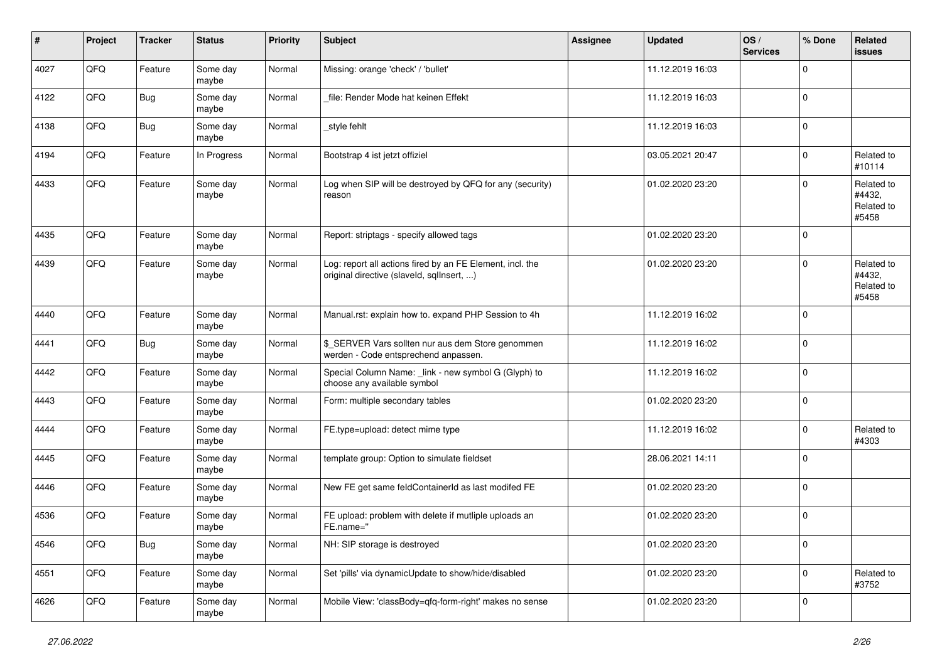| #    | Project | <b>Tracker</b> | <b>Status</b>     | <b>Priority</b> | <b>Subject</b>                                                                                         | Assignee | <b>Updated</b>   | OS/<br><b>Services</b> | % Done      | Related<br><b>issues</b>                    |
|------|---------|----------------|-------------------|-----------------|--------------------------------------------------------------------------------------------------------|----------|------------------|------------------------|-------------|---------------------------------------------|
| 4027 | QFQ     | Feature        | Some day<br>maybe | Normal          | Missing: orange 'check' / 'bullet'                                                                     |          | 11.12.2019 16:03 |                        | $\mathbf 0$ |                                             |
| 4122 | QFQ     | Bug            | Some day<br>maybe | Normal          | file: Render Mode hat keinen Effekt                                                                    |          | 11.12.2019 16:03 |                        | 0           |                                             |
| 4138 | QFQ     | Bug            | Some day<br>maybe | Normal          | _style fehlt                                                                                           |          | 11.12.2019 16:03 |                        | $\mathbf 0$ |                                             |
| 4194 | QFQ     | Feature        | In Progress       | Normal          | Bootstrap 4 ist jetzt offiziel                                                                         |          | 03.05.2021 20:47 |                        | $\mathbf 0$ | Related to<br>#10114                        |
| 4433 | QFQ     | Feature        | Some day<br>maybe | Normal          | Log when SIP will be destroyed by QFQ for any (security)<br>reason                                     |          | 01.02.2020 23:20 |                        | $\mathbf 0$ | Related to<br>#4432,<br>Related to<br>#5458 |
| 4435 | QFQ     | Feature        | Some day<br>maybe | Normal          | Report: striptags - specify allowed tags                                                               |          | 01.02.2020 23:20 |                        | $\Omega$    |                                             |
| 4439 | QFQ     | Feature        | Some day<br>maybe | Normal          | Log: report all actions fired by an FE Element, incl. the<br>original directive (slaveld, sqllnsert, ) |          | 01.02.2020 23:20 |                        | $\mathbf 0$ | Related to<br>#4432,<br>Related to<br>#5458 |
| 4440 | QFQ     | Feature        | Some day<br>maybe | Normal          | Manual.rst: explain how to. expand PHP Session to 4h                                                   |          | 11.12.2019 16:02 |                        | $\mathbf 0$ |                                             |
| 4441 | QFQ     | <b>Bug</b>     | Some day<br>maybe | Normal          | \$_SERVER Vars sollten nur aus dem Store genommen<br>werden - Code entsprechend anpassen.              |          | 11.12.2019 16:02 |                        | $\mathbf 0$ |                                             |
| 4442 | QFQ     | Feature        | Some day<br>maybe | Normal          | Special Column Name: _link - new symbol G (Glyph) to<br>choose any available symbol                    |          | 11.12.2019 16:02 |                        | $\mathbf 0$ |                                             |
| 4443 | QFQ     | Feature        | Some day<br>maybe | Normal          | Form: multiple secondary tables                                                                        |          | 01.02.2020 23:20 |                        | $\mathbf 0$ |                                             |
| 4444 | QFQ     | Feature        | Some day<br>maybe | Normal          | FE.type=upload: detect mime type                                                                       |          | 11.12.2019 16:02 |                        | $\mathbf 0$ | Related to<br>#4303                         |
| 4445 | QFQ     | Feature        | Some day<br>maybe | Normal          | template group: Option to simulate fieldset                                                            |          | 28.06.2021 14:11 |                        | 0           |                                             |
| 4446 | QFQ     | Feature        | Some day<br>maybe | Normal          | New FE get same feldContainerId as last modifed FE                                                     |          | 01.02.2020 23:20 |                        | 0           |                                             |
| 4536 | QFQ     | Feature        | Some day<br>maybe | Normal          | FE upload: problem with delete if mutliple uploads an<br>FE.name="                                     |          | 01.02.2020 23:20 |                        | $\mathbf 0$ |                                             |
| 4546 | QFG     | <b>Bug</b>     | Some day<br>maybe | Normal          | NH: SIP storage is destroyed                                                                           |          | 01.02.2020 23:20 |                        | 0           |                                             |
| 4551 | QFG     | Feature        | Some day<br>maybe | Normal          | Set 'pills' via dynamicUpdate to show/hide/disabled                                                    |          | 01.02.2020 23:20 |                        | 0           | Related to<br>#3752                         |
| 4626 | QFQ     | Feature        | Some day<br>maybe | Normal          | Mobile View: 'classBody=qfq-form-right' makes no sense                                                 |          | 01.02.2020 23:20 |                        | 0           |                                             |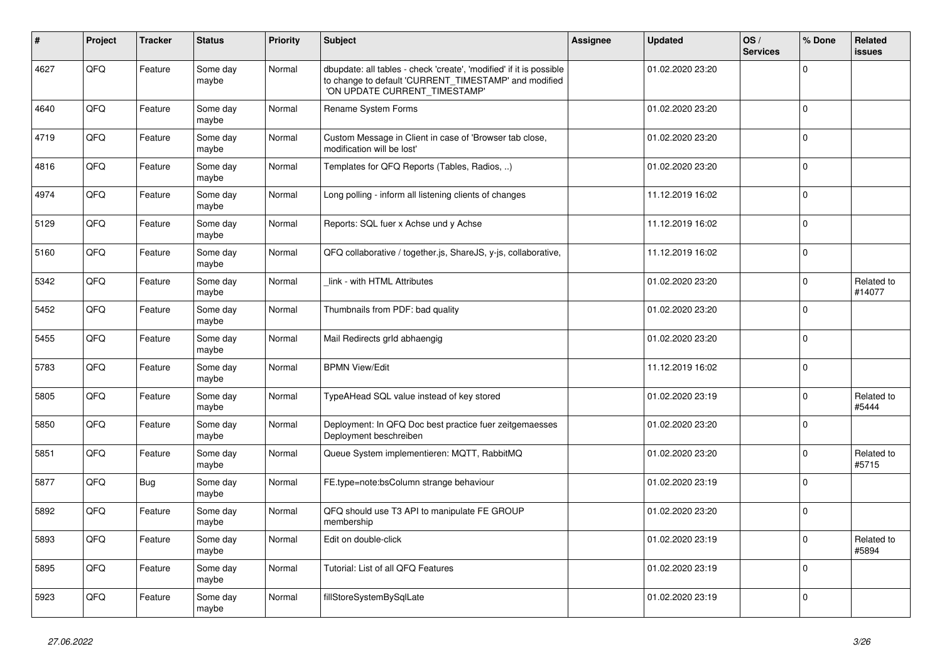| #    | Project | <b>Tracker</b> | <b>Status</b>     | <b>Priority</b> | <b>Subject</b>                                                                                                                                                | <b>Assignee</b> | <b>Updated</b>   | OS/<br><b>Services</b> | % Done      | Related<br>issues    |
|------|---------|----------------|-------------------|-----------------|---------------------------------------------------------------------------------------------------------------------------------------------------------------|-----------------|------------------|------------------------|-------------|----------------------|
| 4627 | QFQ     | Feature        | Some day<br>maybe | Normal          | dbupdate: all tables - check 'create', 'modified' if it is possible<br>to change to default 'CURRENT_TIMESTAMP' and modified<br>'ON UPDATE CURRENT_TIMESTAMP' |                 | 01.02.2020 23:20 |                        | $\Omega$    |                      |
| 4640 | QFQ     | Feature        | Some day<br>maybe | Normal          | Rename System Forms                                                                                                                                           |                 | 01.02.2020 23:20 |                        | $\Omega$    |                      |
| 4719 | QFQ     | Feature        | Some day<br>maybe | Normal          | Custom Message in Client in case of 'Browser tab close,<br>modification will be lost'                                                                         |                 | 01.02.2020 23:20 |                        | 0           |                      |
| 4816 | QFQ     | Feature        | Some day<br>maybe | Normal          | Templates for QFQ Reports (Tables, Radios, )                                                                                                                  |                 | 01.02.2020 23:20 |                        | $\Omega$    |                      |
| 4974 | QFQ     | Feature        | Some day<br>maybe | Normal          | Long polling - inform all listening clients of changes                                                                                                        |                 | 11.12.2019 16:02 |                        | $\Omega$    |                      |
| 5129 | QFQ     | Feature        | Some day<br>maybe | Normal          | Reports: SQL fuer x Achse und y Achse                                                                                                                         |                 | 11.12.2019 16:02 |                        | $\Omega$    |                      |
| 5160 | QFQ     | Feature        | Some day<br>maybe | Normal          | QFQ collaborative / together.js, ShareJS, y-js, collaborative,                                                                                                |                 | 11.12.2019 16:02 |                        | $\Omega$    |                      |
| 5342 | QFQ     | Feature        | Some day<br>maybe | Normal          | link - with HTML Attributes                                                                                                                                   |                 | 01.02.2020 23:20 |                        | $\Omega$    | Related to<br>#14077 |
| 5452 | QFQ     | Feature        | Some day<br>maybe | Normal          | Thumbnails from PDF: bad quality                                                                                                                              |                 | 01.02.2020 23:20 |                        | $\Omega$    |                      |
| 5455 | QFQ     | Feature        | Some day<br>maybe | Normal          | Mail Redirects grld abhaengig                                                                                                                                 |                 | 01.02.2020 23:20 |                        | $\Omega$    |                      |
| 5783 | QFQ     | Feature        | Some day<br>maybe | Normal          | <b>BPMN View/Edit</b>                                                                                                                                         |                 | 11.12.2019 16:02 |                        | $\Omega$    |                      |
| 5805 | QFQ     | Feature        | Some day<br>maybe | Normal          | TypeAHead SQL value instead of key stored                                                                                                                     |                 | 01.02.2020 23:19 |                        | $\Omega$    | Related to<br>#5444  |
| 5850 | QFQ     | Feature        | Some day<br>maybe | Normal          | Deployment: In QFQ Doc best practice fuer zeitgemaesses<br>Deployment beschreiben                                                                             |                 | 01.02.2020 23:20 |                        | $\Omega$    |                      |
| 5851 | QFQ     | Feature        | Some day<br>maybe | Normal          | Queue System implementieren: MQTT, RabbitMQ                                                                                                                   |                 | 01.02.2020 23:20 |                        | $\Omega$    | Related to<br>#5715  |
| 5877 | QFQ     | Bug            | Some day<br>maybe | Normal          | FE.type=note:bsColumn strange behaviour                                                                                                                       |                 | 01.02.2020 23:19 |                        | $\mathbf 0$ |                      |
| 5892 | QFQ     | Feature        | Some day<br>maybe | Normal          | QFQ should use T3 API to manipulate FE GROUP<br>membership                                                                                                    |                 | 01.02.2020 23:20 |                        | $\Omega$    |                      |
| 5893 | QFQ     | Feature        | Some day<br>maybe | Normal          | Edit on double-click                                                                                                                                          |                 | 01.02.2020 23:19 |                        | $\Omega$    | Related to<br>#5894  |
| 5895 | QFQ     | Feature        | Some day<br>maybe | Normal          | Tutorial: List of all QFQ Features                                                                                                                            |                 | 01.02.2020 23:19 |                        | $\Omega$    |                      |
| 5923 | QFQ     | Feature        | Some day<br>maybe | Normal          | fillStoreSystemBySqlLate                                                                                                                                      |                 | 01.02.2020 23:19 |                        | $\Omega$    |                      |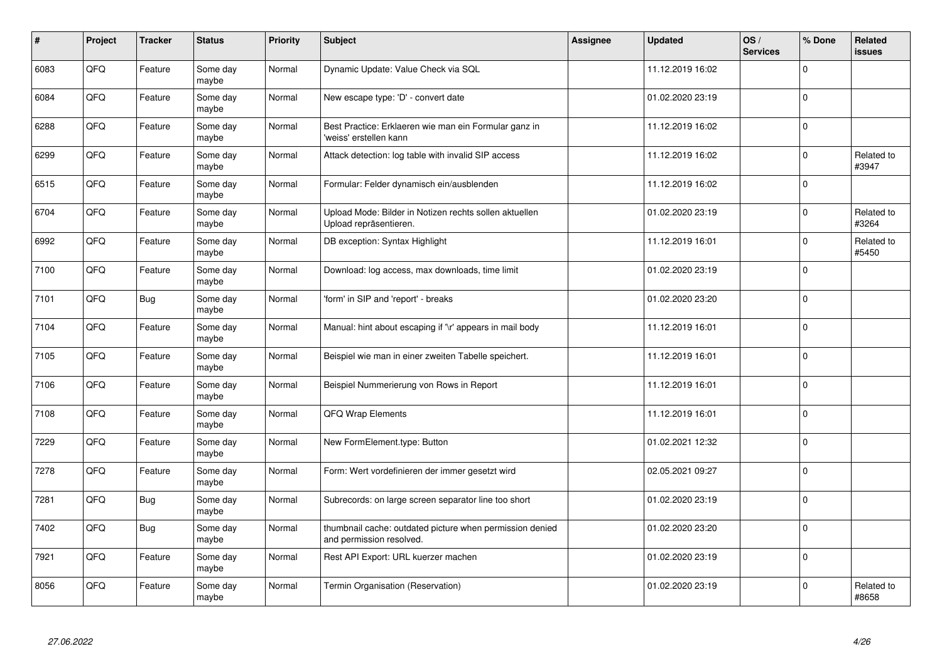| $\sharp$ | Project | <b>Tracker</b> | <b>Status</b>     | <b>Priority</b> | <b>Subject</b>                                                                       | Assignee | <b>Updated</b>   | OS/<br><b>Services</b> | % Done      | Related<br><b>issues</b> |
|----------|---------|----------------|-------------------|-----------------|--------------------------------------------------------------------------------------|----------|------------------|------------------------|-------------|--------------------------|
| 6083     | QFQ     | Feature        | Some day<br>maybe | Normal          | Dynamic Update: Value Check via SQL                                                  |          | 11.12.2019 16:02 |                        | $\Omega$    |                          |
| 6084     | QFQ     | Feature        | Some day<br>maybe | Normal          | New escape type: 'D' - convert date                                                  |          | 01.02.2020 23:19 |                        | $\mathbf 0$ |                          |
| 6288     | QFQ     | Feature        | Some day<br>maybe | Normal          | Best Practice: Erklaeren wie man ein Formular ganz in<br>'weiss' erstellen kann      |          | 11.12.2019 16:02 |                        | $\Omega$    |                          |
| 6299     | QFQ     | Feature        | Some day<br>maybe | Normal          | Attack detection: log table with invalid SIP access                                  |          | 11.12.2019 16:02 |                        | $\Omega$    | Related to<br>#3947      |
| 6515     | QFQ     | Feature        | Some day<br>maybe | Normal          | Formular: Felder dynamisch ein/ausblenden                                            |          | 11.12.2019 16:02 |                        | $\mathbf 0$ |                          |
| 6704     | QFQ     | Feature        | Some day<br>maybe | Normal          | Upload Mode: Bilder in Notizen rechts sollen aktuellen<br>Upload repräsentieren.     |          | 01.02.2020 23:19 |                        | $\Omega$    | Related to<br>#3264      |
| 6992     | QFQ     | Feature        | Some day<br>maybe | Normal          | DB exception: Syntax Highlight                                                       |          | 11.12.2019 16:01 |                        | $\Omega$    | Related to<br>#5450      |
| 7100     | QFQ     | Feature        | Some day<br>maybe | Normal          | Download: log access, max downloads, time limit                                      |          | 01.02.2020 23:19 |                        | $\Omega$    |                          |
| 7101     | QFQ     | Bug            | Some day<br>maybe | Normal          | 'form' in SIP and 'report' - breaks                                                  |          | 01.02.2020 23:20 |                        | $\Omega$    |                          |
| 7104     | QFQ     | Feature        | Some day<br>maybe | Normal          | Manual: hint about escaping if '\r' appears in mail body                             |          | 11.12.2019 16:01 |                        | $\mathbf 0$ |                          |
| 7105     | QFQ     | Feature        | Some day<br>maybe | Normal          | Beispiel wie man in einer zweiten Tabelle speichert.                                 |          | 11.12.2019 16:01 |                        | $\mathbf 0$ |                          |
| 7106     | QFQ     | Feature        | Some day<br>maybe | Normal          | Beispiel Nummerierung von Rows in Report                                             |          | 11.12.2019 16:01 |                        | $\pmb{0}$   |                          |
| 7108     | QFQ     | Feature        | Some day<br>maybe | Normal          | QFQ Wrap Elements                                                                    |          | 11.12.2019 16:01 |                        | 0 l         |                          |
| 7229     | QFQ     | Feature        | Some day<br>maybe | Normal          | New FormElement.type: Button                                                         |          | 01.02.2021 12:32 |                        | $\mathbf 0$ |                          |
| 7278     | QFQ     | Feature        | Some day<br>maybe | Normal          | Form: Wert vordefinieren der immer gesetzt wird                                      |          | 02.05.2021 09:27 |                        | $\Omega$    |                          |
| 7281     | QFQ     | Bug            | Some day<br>maybe | Normal          | Subrecords: on large screen separator line too short                                 |          | 01.02.2020 23:19 |                        | $\Omega$    |                          |
| 7402     | QFQ     | Bug            | Some day<br>maybe | Normal          | thumbnail cache: outdated picture when permission denied<br>and permission resolved. |          | 01.02.2020 23:20 |                        | $\mathbf 0$ |                          |
| 7921     | QFG     | Feature        | Some day<br>maybe | Normal          | Rest API Export: URL kuerzer machen                                                  |          | 01.02.2020 23:19 |                        | $\pmb{0}$   |                          |
| 8056     | QFQ     | Feature        | Some day<br>maybe | Normal          | Termin Organisation (Reservation)                                                    |          | 01.02.2020 23:19 |                        | $\Omega$    | Related to<br>#8658      |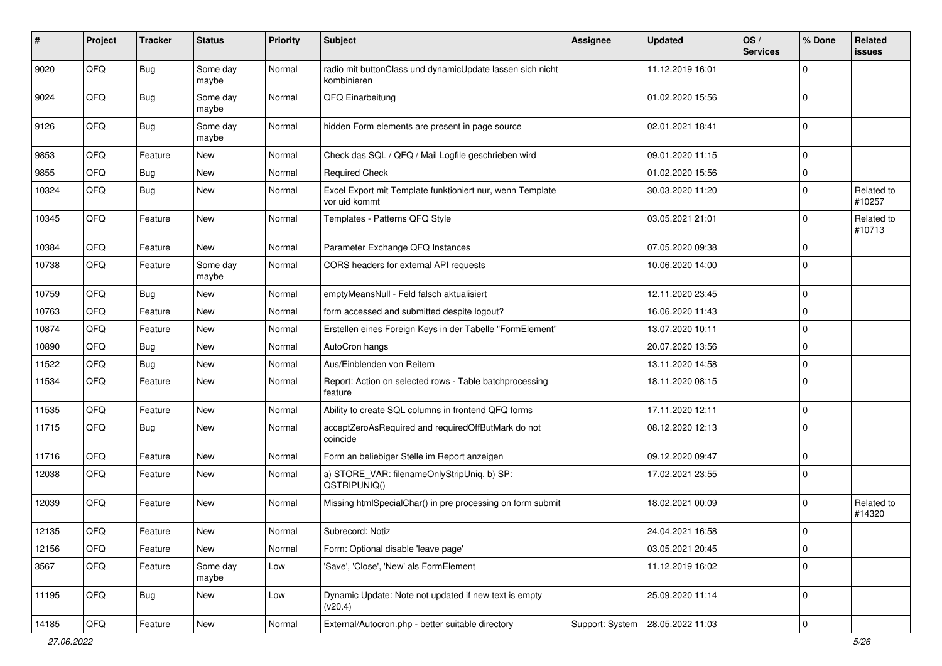| ∦     | Project | <b>Tracker</b> | <b>Status</b>     | <b>Priority</b> | Subject                                                                    | <b>Assignee</b> | <b>Updated</b>                     | OS/<br><b>Services</b> | % Done      | Related<br>issues    |
|-------|---------|----------------|-------------------|-----------------|----------------------------------------------------------------------------|-----------------|------------------------------------|------------------------|-------------|----------------------|
| 9020  | QFQ     | Bug            | Some day<br>maybe | Normal          | radio mit buttonClass und dynamicUpdate lassen sich nicht<br>kombinieren   |                 | 11.12.2019 16:01                   |                        | $\Omega$    |                      |
| 9024  | QFQ     | Bug            | Some day<br>maybe | Normal          | QFQ Einarbeitung                                                           |                 | 01.02.2020 15:56                   |                        | $\mathbf 0$ |                      |
| 9126  | QFQ     | Bug            | Some day<br>maybe | Normal          | hidden Form elements are present in page source                            |                 | 02.01.2021 18:41                   |                        | $\Omega$    |                      |
| 9853  | QFQ     | Feature        | New               | Normal          | Check das SQL / QFQ / Mail Logfile geschrieben wird                        |                 | 09.01.2020 11:15                   |                        | 0           |                      |
| 9855  | QFQ     | Bug            | New               | Normal          | <b>Required Check</b>                                                      |                 | 01.02.2020 15:56                   |                        | 0           |                      |
| 10324 | QFQ     | Bug            | New               | Normal          | Excel Export mit Template funktioniert nur, wenn Template<br>vor uid kommt |                 | 30.03.2020 11:20                   |                        | $\Omega$    | Related to<br>#10257 |
| 10345 | QFQ     | Feature        | New               | Normal          | Templates - Patterns QFQ Style                                             |                 | 03.05.2021 21:01                   |                        | $\Omega$    | Related to<br>#10713 |
| 10384 | QFQ     | Feature        | <b>New</b>        | Normal          | Parameter Exchange QFQ Instances                                           |                 | 07.05.2020 09:38                   |                        | 0           |                      |
| 10738 | QFQ     | Feature        | Some day<br>maybe | Normal          | CORS headers for external API requests                                     |                 | 10.06.2020 14:00                   |                        | $\Omega$    |                      |
| 10759 | QFQ     | Bug            | New               | Normal          | emptyMeansNull - Feld falsch aktualisiert                                  |                 | 12.11.2020 23:45                   |                        | $\Omega$    |                      |
| 10763 | QFQ     | Feature        | New               | Normal          | form accessed and submitted despite logout?                                |                 | 16.06.2020 11:43                   |                        | $\mathbf 0$ |                      |
| 10874 | QFQ     | Feature        | New               | Normal          | Erstellen eines Foreign Keys in der Tabelle "FormElement"                  |                 | 13.07.2020 10:11                   |                        | $\mathbf 0$ |                      |
| 10890 | QFQ     | Bug            | New               | Normal          | AutoCron hangs                                                             |                 | 20.07.2020 13:56                   |                        | $\Omega$    |                      |
| 11522 | QFQ     | Bug            | <b>New</b>        | Normal          | Aus/Einblenden von Reitern                                                 |                 | 13.11.2020 14:58                   |                        | 0           |                      |
| 11534 | QFQ     | Feature        | New               | Normal          | Report: Action on selected rows - Table batchprocessing<br>feature         |                 | 18.11.2020 08:15                   |                        | $\Omega$    |                      |
| 11535 | QFQ     | Feature        | <b>New</b>        | Normal          | Ability to create SQL columns in frontend QFQ forms                        |                 | 17.11.2020 12:11                   |                        | $\mathbf 0$ |                      |
| 11715 | QFQ     | Bug            | New               | Normal          | acceptZeroAsRequired and requiredOffButMark do not<br>coincide             |                 | 08.12.2020 12:13                   |                        | $\Omega$    |                      |
| 11716 | QFQ     | Feature        | New               | Normal          | Form an beliebiger Stelle im Report anzeigen                               |                 | 09.12.2020 09:47                   |                        | $\mathbf 0$ |                      |
| 12038 | QFQ     | Feature        | New               | Normal          | a) STORE_VAR: filenameOnlyStripUniq, b) SP:<br>QSTRIPUNIQ()                |                 | 17.02.2021 23:55                   |                        | $\mathbf 0$ |                      |
| 12039 | QFQ     | Feature        | New               | Normal          | Missing htmlSpecialChar() in pre processing on form submit                 |                 | 18.02.2021 00:09                   |                        | $\Omega$    | Related to<br>#14320 |
| 12135 | QFQ     | Feature        | New               | Normal          | Subrecord: Notiz                                                           |                 | 24.04.2021 16:58                   |                        | $\Omega$    |                      |
| 12156 | QFQ     | Feature        | New               | Normal          | Form: Optional disable 'leave page'                                        |                 | 03.05.2021 20:45                   |                        | $\mathbf 0$ |                      |
| 3567  | QFQ     | Feature        | Some day<br>maybe | Low             | 'Save', 'Close', 'New' als FormElement                                     |                 | 11.12.2019 16:02                   |                        | 0           |                      |
| 11195 | QFQ     | Bug            | New               | Low             | Dynamic Update: Note not updated if new text is empty<br>(v20.4)           |                 | 25.09.2020 11:14                   |                        | $\Omega$    |                      |
| 14185 | QFG     | Feature        | New               | Normal          | External/Autocron.php - better suitable directory                          |                 | Support: System   28.05.2022 11:03 |                        | 0           |                      |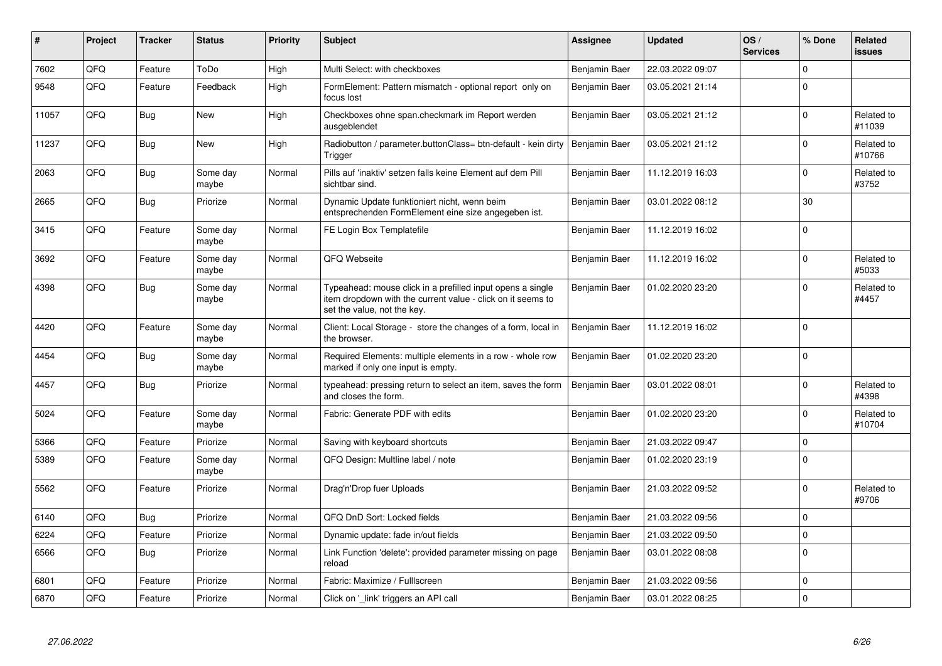| #     | Project | <b>Tracker</b> | <b>Status</b>     | <b>Priority</b> | <b>Subject</b>                                                                                                                                           | Assignee      | <b>Updated</b>   | OS/<br><b>Services</b> | % Done      | <b>Related</b><br><b>issues</b> |
|-------|---------|----------------|-------------------|-----------------|----------------------------------------------------------------------------------------------------------------------------------------------------------|---------------|------------------|------------------------|-------------|---------------------------------|
| 7602  | QFQ     | Feature        | ToDo              | High            | Multi Select: with checkboxes                                                                                                                            | Benjamin Baer | 22.03.2022 09:07 |                        | $\Omega$    |                                 |
| 9548  | QFQ     | Feature        | Feedback          | High            | FormElement: Pattern mismatch - optional report only on<br>focus lost                                                                                    | Benjamin Baer | 03.05.2021 21:14 |                        | $\Omega$    |                                 |
| 11057 | QFQ     | Bug            | New               | High            | Checkboxes ohne span.checkmark im Report werden<br>ausgeblendet                                                                                          | Benjamin Baer | 03.05.2021 21:12 |                        | $\mathbf 0$ | Related to<br>#11039            |
| 11237 | QFQ     | Bug            | <b>New</b>        | High            | Radiobutton / parameter.buttonClass= btn-default - kein dirty<br>Trigger                                                                                 | Benjamin Baer | 03.05.2021 21:12 |                        | $\Omega$    | Related to<br>#10766            |
| 2063  | QFQ     | Bug            | Some day<br>maybe | Normal          | Pills auf 'inaktiv' setzen falls keine Element auf dem Pill<br>sichtbar sind.                                                                            | Benjamin Baer | 11.12.2019 16:03 |                        | $\Omega$    | Related to<br>#3752             |
| 2665  | QFQ     | Bug            | Priorize          | Normal          | Dynamic Update funktioniert nicht, wenn beim<br>entsprechenden FormElement eine size angegeben ist.                                                      | Benjamin Baer | 03.01.2022 08:12 |                        | 30          |                                 |
| 3415  | QFQ     | Feature        | Some day<br>maybe | Normal          | FE Login Box Templatefile                                                                                                                                | Benjamin Baer | 11.12.2019 16:02 |                        | $\Omega$    |                                 |
| 3692  | QFQ     | Feature        | Some day<br>maybe | Normal          | QFQ Webseite                                                                                                                                             | Benjamin Baer | 11.12.2019 16:02 |                        | $\mathbf 0$ | Related to<br>#5033             |
| 4398  | QFQ     | Bug            | Some day<br>maybe | Normal          | Typeahead: mouse click in a prefilled input opens a single<br>item dropdown with the current value - click on it seems to<br>set the value, not the key. | Benjamin Baer | 01.02.2020 23:20 |                        | $\Omega$    | Related to<br>#4457             |
| 4420  | QFQ     | Feature        | Some day<br>maybe | Normal          | Client: Local Storage - store the changes of a form, local in<br>the browser.                                                                            | Benjamin Baer | 11.12.2019 16:02 |                        | $\Omega$    |                                 |
| 4454  | QFQ     | <b>Bug</b>     | Some day<br>maybe | Normal          | Required Elements: multiple elements in a row - whole row<br>marked if only one input is empty.                                                          | Benjamin Baer | 01.02.2020 23:20 |                        | $\Omega$    |                                 |
| 4457  | QFQ     | <b>Bug</b>     | Priorize          | Normal          | typeahead: pressing return to select an item, saves the form<br>and closes the form.                                                                     | Benjamin Baer | 03.01.2022 08:01 |                        | $\Omega$    | Related to<br>#4398             |
| 5024  | QFQ     | Feature        | Some day<br>maybe | Normal          | Fabric: Generate PDF with edits                                                                                                                          | Benjamin Baer | 01.02.2020 23:20 |                        | $\Omega$    | Related to<br>#10704            |
| 5366  | QFQ     | Feature        | Priorize          | Normal          | Saving with keyboard shortcuts                                                                                                                           | Benjamin Baer | 21.03.2022 09:47 |                        | $\mathbf 0$ |                                 |
| 5389  | QFQ     | Feature        | Some day<br>maybe | Normal          | QFQ Design: Multline label / note                                                                                                                        | Benjamin Baer | 01.02.2020 23:19 |                        | $\Omega$    |                                 |
| 5562  | QFQ     | Feature        | Priorize          | Normal          | Drag'n'Drop fuer Uploads                                                                                                                                 | Benjamin Baer | 21.03.2022 09:52 |                        | $\Omega$    | Related to<br>#9706             |
| 6140  | QFQ     | Bug            | Priorize          | Normal          | QFQ DnD Sort: Locked fields                                                                                                                              | Benjamin Baer | 21.03.2022 09:56 |                        | $\Omega$    |                                 |
| 6224  | QFQ     | Feature        | Priorize          | Normal          | Dynamic update: fade in/out fields                                                                                                                       | Benjamin Baer | 21.03.2022 09:50 |                        | $\mathbf 0$ |                                 |
| 6566  | QFQ     | <b>Bug</b>     | Priorize          | Normal          | Link Function 'delete': provided parameter missing on page<br>reload                                                                                     | Benjamin Baer | 03.01.2022 08:08 |                        | $\Omega$    |                                 |
| 6801  | QFQ     | Feature        | Priorize          | Normal          | Fabric: Maximize / FullIscreen                                                                                                                           | Benjamin Baer | 21.03.2022 09:56 |                        | $\mathbf 0$ |                                 |
| 6870  | QFQ     | Feature        | Priorize          | Normal          | Click on '_link' triggers an API call                                                                                                                    | Benjamin Baer | 03.01.2022 08:25 |                        | $\Omega$    |                                 |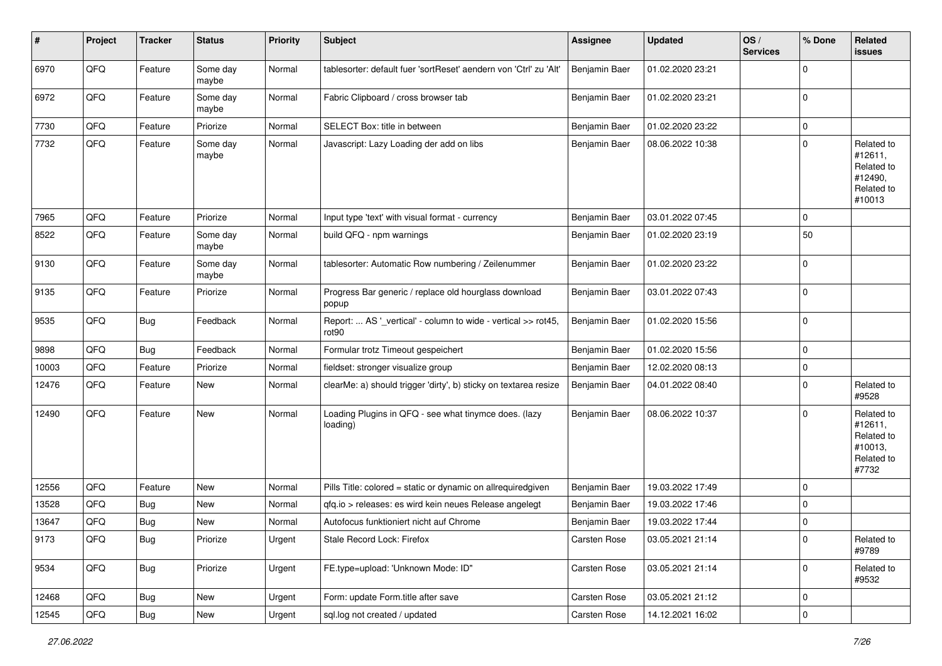| $\sharp$ | Project | <b>Tracker</b> | <b>Status</b>     | <b>Priority</b> | <b>Subject</b>                                                                     | <b>Assignee</b> | <b>Updated</b>   | OS/<br><b>Services</b> | % Done      | Related<br><b>issues</b>                                               |
|----------|---------|----------------|-------------------|-----------------|------------------------------------------------------------------------------------|-----------------|------------------|------------------------|-------------|------------------------------------------------------------------------|
| 6970     | QFQ     | Feature        | Some day<br>maybe | Normal          | tablesorter: default fuer 'sortReset' aendern von 'Ctrl' zu 'Alt'                  | Benjamin Baer   | 01.02.2020 23:21 |                        | $\mathbf 0$ |                                                                        |
| 6972     | QFQ     | Feature        | Some day<br>maybe | Normal          | Fabric Clipboard / cross browser tab                                               | Benjamin Baer   | 01.02.2020 23:21 |                        | 0           |                                                                        |
| 7730     | QFQ     | Feature        | Priorize          | Normal          | SELECT Box: title in between                                                       | Benjamin Baer   | 01.02.2020 23:22 |                        | $\mathbf 0$ |                                                                        |
| 7732     | QFQ     | Feature        | Some day<br>maybe | Normal          | Javascript: Lazy Loading der add on libs                                           | Benjamin Baer   | 08.06.2022 10:38 |                        | $\Omega$    | Related to<br>#12611,<br>Related to<br>#12490,<br>Related to<br>#10013 |
| 7965     | QFQ     | Feature        | Priorize          | Normal          | Input type 'text' with visual format - currency                                    | Benjamin Baer   | 03.01.2022 07:45 |                        | $\mathbf 0$ |                                                                        |
| 8522     | QFQ     | Feature        | Some day<br>maybe | Normal          | build QFQ - npm warnings                                                           | Benjamin Baer   | 01.02.2020 23:19 |                        | 50          |                                                                        |
| 9130     | QFQ     | Feature        | Some day<br>maybe | Normal          | tablesorter: Automatic Row numbering / Zeilenummer                                 | Benjamin Baer   | 01.02.2020 23:22 |                        | 0           |                                                                        |
| 9135     | QFQ     | Feature        | Priorize          | Normal          | Progress Bar generic / replace old hourglass download<br>popup                     | Benjamin Baer   | 03.01.2022 07:43 |                        | 0           |                                                                        |
| 9535     | QFQ     | Bug            | Feedback          | Normal          | Report:  AS '_vertical' - column to wide - vertical >> rot45,<br>rot <sub>90</sub> | Benjamin Baer   | 01.02.2020 15:56 |                        | $\mathbf 0$ |                                                                        |
| 9898     | QFQ     | Bug            | Feedback          | Normal          | Formular trotz Timeout gespeichert                                                 | Benjamin Baer   | 01.02.2020 15:56 |                        | $\mathbf 0$ |                                                                        |
| 10003    | QFQ     | Feature        | Priorize          | Normal          | fieldset: stronger visualize group                                                 | Benjamin Baer   | 12.02.2020 08:13 |                        | 0           |                                                                        |
| 12476    | QFQ     | Feature        | New               | Normal          | clearMe: a) should trigger 'dirty', b) sticky on textarea resize                   | Benjamin Baer   | 04.01.2022 08:40 |                        | $\Omega$    | Related to<br>#9528                                                    |
| 12490    | QFQ     | Feature        | <b>New</b>        | Normal          | Loading Plugins in QFQ - see what tinymce does. (lazy<br>loading)                  | Benjamin Baer   | 08.06.2022 10:37 |                        | $\mathbf 0$ | Related to<br>#12611,<br>Related to<br>#10013,<br>Related to<br>#7732  |
| 12556    | QFQ     | Feature        | New               | Normal          | Pills Title: colored = static or dynamic on allrequiredgiven                       | Benjamin Baer   | 19.03.2022 17:49 |                        | 0           |                                                                        |
| 13528    | QFQ     | <b>Bug</b>     | New               | Normal          | qfq.io > releases: es wird kein neues Release angelegt                             | Benjamin Baer   | 19.03.2022 17:46 |                        | 0           |                                                                        |
| 13647    | QFQ     | Bug            | New               | Normal          | Autofocus funktioniert nicht auf Chrome                                            | Benjamin Baer   | 19.03.2022 17:44 |                        | $\mathbf 0$ |                                                                        |
| 9173     | QFQ     | Bug            | Priorize          | Urgent          | Stale Record Lock: Firefox                                                         | Carsten Rose    | 03.05.2021 21:14 |                        | 0           | Related to<br>#9789                                                    |
| 9534     | QFG     | Bug            | Priorize          | Urgent          | FE.type=upload: 'Unknown Mode: ID"                                                 | Carsten Rose    | 03.05.2021 21:14 |                        | $\mathbf 0$ | Related to<br>#9532                                                    |
| 12468    | QFQ     | Bug            | New               | Urgent          | Form: update Form.title after save                                                 | Carsten Rose    | 03.05.2021 21:12 |                        | 0           |                                                                        |
| 12545    | QFG     | Bug            | New               | Urgent          | sql.log not created / updated                                                      | Carsten Rose    | 14.12.2021 16:02 |                        | 0           |                                                                        |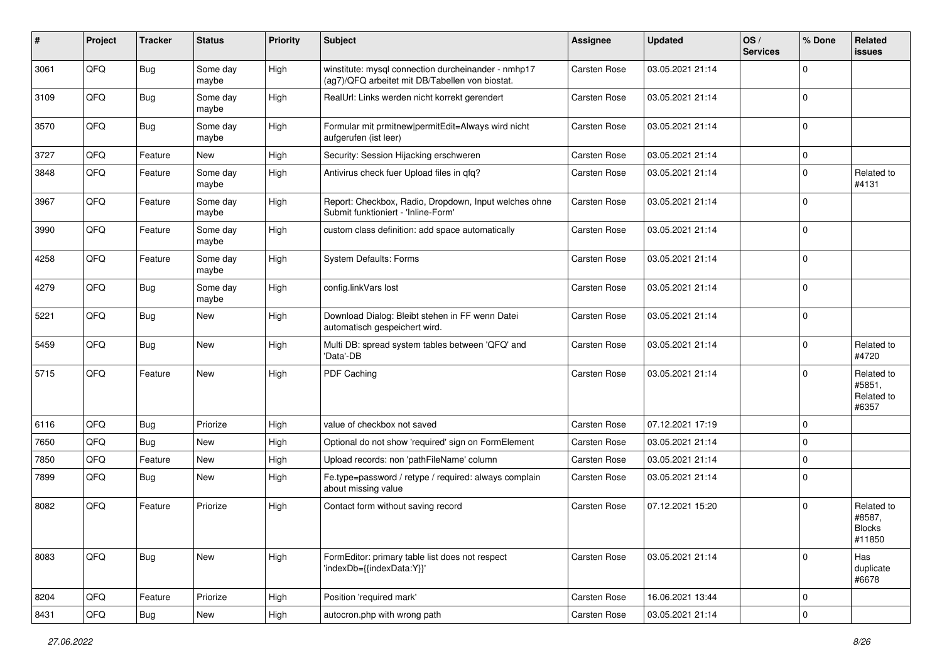| ∦    | Project | <b>Tracker</b> | <b>Status</b>     | <b>Priority</b> | Subject                                                                                                | <b>Assignee</b>     | <b>Updated</b>   | OS/<br><b>Services</b> | % Done       | Related<br><b>issues</b>                        |
|------|---------|----------------|-------------------|-----------------|--------------------------------------------------------------------------------------------------------|---------------------|------------------|------------------------|--------------|-------------------------------------------------|
| 3061 | QFQ     | Bug            | Some day<br>maybe | High            | winstitute: mysql connection durcheinander - nmhp17<br>(ag7)/QFQ arbeitet mit DB/Tabellen von biostat. | <b>Carsten Rose</b> | 03.05.2021 21:14 |                        | $\Omega$     |                                                 |
| 3109 | QFQ     | Bug            | Some day<br>maybe | High            | RealUrl: Links werden nicht korrekt gerendert                                                          | <b>Carsten Rose</b> | 03.05.2021 21:14 |                        | $\Omega$     |                                                 |
| 3570 | QFQ     | Bug            | Some day<br>maybe | High            | Formular mit prmitnew permitEdit=Always wird nicht<br>aufgerufen (ist leer)                            | <b>Carsten Rose</b> | 03.05.2021 21:14 |                        | $\Omega$     |                                                 |
| 3727 | QFQ     | Feature        | <b>New</b>        | High            | Security: Session Hijacking erschweren                                                                 | <b>Carsten Rose</b> | 03.05.2021 21:14 |                        | $\mathbf 0$  |                                                 |
| 3848 | QFQ     | Feature        | Some day<br>maybe | High            | Antivirus check fuer Upload files in qfq?                                                              | Carsten Rose        | 03.05.2021 21:14 |                        | $\Omega$     | Related to<br>#4131                             |
| 3967 | QFQ     | Feature        | Some day<br>maybe | High            | Report: Checkbox, Radio, Dropdown, Input welches ohne<br>Submit funktioniert - 'Inline-Form'           | Carsten Rose        | 03.05.2021 21:14 |                        | $\mathbf{0}$ |                                                 |
| 3990 | QFQ     | Feature        | Some day<br>maybe | High            | custom class definition: add space automatically                                                       | <b>Carsten Rose</b> | 03.05.2021 21:14 |                        | $\mathbf 0$  |                                                 |
| 4258 | QFQ     | Feature        | Some day<br>maybe | High            | System Defaults: Forms                                                                                 | <b>Carsten Rose</b> | 03.05.2021 21:14 |                        | $\Omega$     |                                                 |
| 4279 | QFQ     | Bug            | Some day<br>maybe | High            | config.linkVars lost                                                                                   | <b>Carsten Rose</b> | 03.05.2021 21:14 |                        | $\Omega$     |                                                 |
| 5221 | QFQ     | Bug            | New               | High            | Download Dialog: Bleibt stehen in FF wenn Datei<br>automatisch gespeichert wird.                       | <b>Carsten Rose</b> | 03.05.2021 21:14 |                        | $\Omega$     |                                                 |
| 5459 | QFQ     | Bug            | <b>New</b>        | High            | Multi DB: spread system tables between 'QFQ' and<br>'Data'-DB                                          | <b>Carsten Rose</b> | 03.05.2021 21:14 |                        | $\Omega$     | Related to<br>#4720                             |
| 5715 | QFQ     | Feature        | New               | High            | PDF Caching                                                                                            | <b>Carsten Rose</b> | 03.05.2021 21:14 |                        | $\Omega$     | Related to<br>#5851,<br>Related to<br>#6357     |
| 6116 | QFQ     | Bug            | Priorize          | High            | value of checkbox not saved                                                                            | <b>Carsten Rose</b> | 07.12.2021 17:19 |                        | $\Omega$     |                                                 |
| 7650 | QFQ     | Bug            | <b>New</b>        | High            | Optional do not show 'required' sign on FormElement                                                    | <b>Carsten Rose</b> | 03.05.2021 21:14 |                        | $\Omega$     |                                                 |
| 7850 | QFQ     | Feature        | New               | High            | Upload records: non 'pathFileName' column                                                              | <b>Carsten Rose</b> | 03.05.2021 21:14 |                        | $\mathbf 0$  |                                                 |
| 7899 | QFQ     | Bug            | <b>New</b>        | High            | Fe.type=password / retype / required: always complain<br>about missing value                           | <b>Carsten Rose</b> | 03.05.2021 21:14 |                        | $\Omega$     |                                                 |
| 8082 | QFQ     | Feature        | Priorize          | High            | Contact form without saving record                                                                     | <b>Carsten Rose</b> | 07.12.2021 15:20 |                        | $\Omega$     | Related to<br>#8587,<br><b>Blocks</b><br>#11850 |
| 8083 | QFQ     | Bug            | New               | High            | FormEditor: primary table list does not respect<br>'indexDb={{indexData:Y}}'                           | Carsten Rose        | 03.05.2021 21:14 |                        | $\Omega$     | Has<br>duplicate<br>#6678                       |
| 8204 | QFQ     | Feature        | Priorize          | High            | Position 'required mark'                                                                               | Carsten Rose        | 16.06.2021 13:44 |                        | $\mathbf 0$  |                                                 |
| 8431 | QFQ     | Bug            | New               | High            | autocron.php with wrong path                                                                           | Carsten Rose        | 03.05.2021 21:14 |                        | $\mathbf 0$  |                                                 |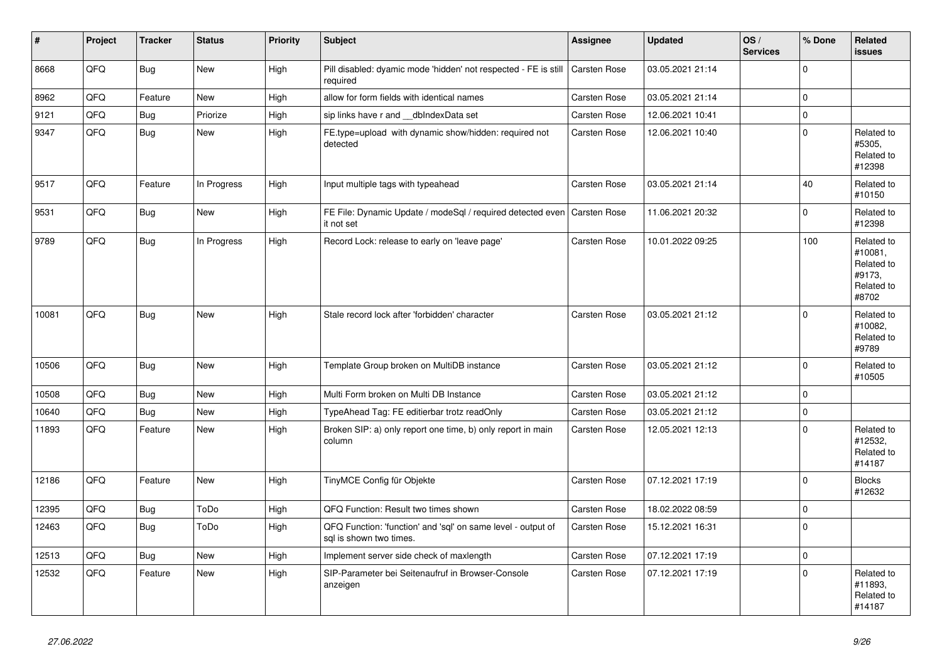| ∦     | Project | <b>Tracker</b> | <b>Status</b> | <b>Priority</b> | <b>Subject</b>                                                                          | Assignee            | <b>Updated</b>   | OS/<br><b>Services</b> | % Done      | Related<br>issues                                                    |
|-------|---------|----------------|---------------|-----------------|-----------------------------------------------------------------------------------------|---------------------|------------------|------------------------|-------------|----------------------------------------------------------------------|
| 8668  | QFQ     | Bug            | <b>New</b>    | High            | Pill disabled: dyamic mode 'hidden' not respected - FE is still<br>required             | <b>Carsten Rose</b> | 03.05.2021 21:14 |                        | $\Omega$    |                                                                      |
| 8962  | QFQ     | Feature        | New           | High            | allow for form fields with identical names                                              | <b>Carsten Rose</b> | 03.05.2021 21:14 |                        | $\mathbf 0$ |                                                                      |
| 9121  | QFQ     | Bug            | Priorize      | High            | sip links have r and __dbIndexData set                                                  | Carsten Rose        | 12.06.2021 10:41 |                        | $\mathbf 0$ |                                                                      |
| 9347  | QFQ     | Bug            | <b>New</b>    | High            | FE.type=upload with dynamic show/hidden: required not<br>detected                       | Carsten Rose        | 12.06.2021 10:40 |                        | $\mathbf 0$ | Related to<br>#5305,<br>Related to<br>#12398                         |
| 9517  | QFQ     | Feature        | In Progress   | High            | Input multiple tags with typeahead                                                      | Carsten Rose        | 03.05.2021 21:14 |                        | 40          | Related to<br>#10150                                                 |
| 9531  | QFQ     | <b>Bug</b>     | New           | High            | FE File: Dynamic Update / modeSql / required detected even   Carsten Rose<br>it not set |                     | 11.06.2021 20:32 |                        | $\Omega$    | Related to<br>#12398                                                 |
| 9789  | QFQ     | Bug            | In Progress   | High            | Record Lock: release to early on 'leave page'                                           | Carsten Rose        | 10.01.2022 09:25 |                        | 100         | Related to<br>#10081.<br>Related to<br>#9173,<br>Related to<br>#8702 |
| 10081 | QFQ     | Bug            | New           | High            | Stale record lock after 'forbidden' character                                           | Carsten Rose        | 03.05.2021 21:12 |                        | $\Omega$    | Related to<br>#10082,<br>Related to<br>#9789                         |
| 10506 | QFQ     | Bug            | <b>New</b>    | High            | Template Group broken on MultiDB instance                                               | <b>Carsten Rose</b> | 03.05.2021 21:12 |                        | $\Omega$    | Related to<br>#10505                                                 |
| 10508 | QFQ     | Bug            | <b>New</b>    | High            | Multi Form broken on Multi DB Instance                                                  | Carsten Rose        | 03.05.2021 21:12 |                        | $\mathbf 0$ |                                                                      |
| 10640 | QFQ     | Bug            | <b>New</b>    | High            | TypeAhead Tag: FE editierbar trotz readOnly                                             | Carsten Rose        | 03.05.2021 21:12 |                        | $\mathbf 0$ |                                                                      |
| 11893 | QFQ     | Feature        | <b>New</b>    | High            | Broken SIP: a) only report one time, b) only report in main<br>column                   | <b>Carsten Rose</b> | 12.05.2021 12:13 |                        | $\mathbf 0$ | Related to<br>#12532,<br>Related to<br>#14187                        |
| 12186 | QFQ     | Feature        | <b>New</b>    | High            | TinyMCE Config für Objekte                                                              | Carsten Rose        | 07.12.2021 17:19 |                        | $\mathbf 0$ | <b>Blocks</b><br>#12632                                              |
| 12395 | QFQ     | <b>Bug</b>     | ToDo          | High            | QFQ Function: Result two times shown                                                    | Carsten Rose        | 18.02.2022 08:59 |                        | $\mathbf 0$ |                                                                      |
| 12463 | QFQ     | <b>Bug</b>     | ToDo          | High            | QFQ Function: 'function' and 'sql' on same level - output of<br>sql is shown two times. | Carsten Rose        | 15.12.2021 16:31 |                        | $\Omega$    |                                                                      |
| 12513 | QFQ     | Bug            | New           | High            | Implement server side check of maxlength                                                | Carsten Rose        | 07.12.2021 17:19 |                        | $\mathbf 0$ |                                                                      |
| 12532 | QFQ     | Feature        | New           | High            | SIP-Parameter bei Seitenaufruf in Browser-Console<br>anzeigen                           | <b>Carsten Rose</b> | 07.12.2021 17:19 |                        | $\mathbf 0$ | Related to<br>#11893,<br>Related to<br>#14187                        |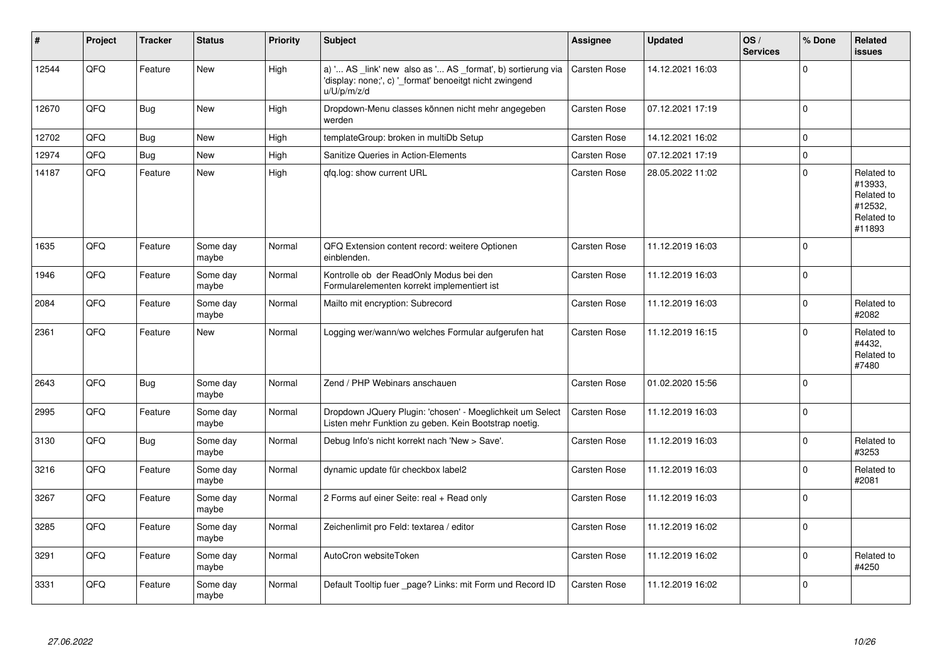| #     | Project | <b>Tracker</b> | <b>Status</b>     | <b>Priority</b> | <b>Subject</b>                                                                                                                        | <b>Assignee</b>     | Updated          | OS/<br><b>Services</b> | % Done         | Related<br>issues                                                      |
|-------|---------|----------------|-------------------|-----------------|---------------------------------------------------------------------------------------------------------------------------------------|---------------------|------------------|------------------------|----------------|------------------------------------------------------------------------|
| 12544 | QFQ     | Feature        | <b>New</b>        | High            | a) ' AS _link' new also as ' AS _format', b) sortierung via<br>'display: none;', c) '_format' benoeitgt nicht zwingend<br>u/U/p/m/z/d | <b>Carsten Rose</b> | 14.12.2021 16:03 |                        | $\Omega$       |                                                                        |
| 12670 | QFQ     | <b>Bug</b>     | <b>New</b>        | High            | Dropdown-Menu classes können nicht mehr angegeben<br>werden                                                                           | <b>Carsten Rose</b> | 07.12.2021 17:19 |                        | $\overline{0}$ |                                                                        |
| 12702 | QFQ     | Bug            | <b>New</b>        | High            | templateGroup: broken in multiDb Setup                                                                                                | <b>Carsten Rose</b> | 14.12.2021 16:02 |                        | 0              |                                                                        |
| 12974 | QFQ     | <b>Bug</b>     | <b>New</b>        | High            | Sanitize Queries in Action-Elements                                                                                                   | <b>Carsten Rose</b> | 07.12.2021 17:19 |                        | $\mathbf 0$    |                                                                        |
| 14187 | QFQ     | Feature        | <b>New</b>        | High            | qfq.log: show current URL                                                                                                             | Carsten Rose        | 28.05.2022 11:02 |                        | $\Omega$       | Related to<br>#13933,<br>Related to<br>#12532,<br>Related to<br>#11893 |
| 1635  | QFQ     | Feature        | Some day<br>maybe | Normal          | QFQ Extension content record: weitere Optionen<br>einblenden.                                                                         | <b>Carsten Rose</b> | 11.12.2019 16:03 |                        | $\overline{0}$ |                                                                        |
| 1946  | QFQ     | Feature        | Some day<br>maybe | Normal          | Kontrolle ob der ReadOnly Modus bei den<br>Formularelementen korrekt implementiert ist                                                | <b>Carsten Rose</b> | 11.12.2019 16:03 |                        | 0              |                                                                        |
| 2084  | QFQ     | Feature        | Some day<br>maybe | Normal          | Mailto mit encryption: Subrecord                                                                                                      | <b>Carsten Rose</b> | 11.12.2019 16:03 |                        | $\mathbf 0$    | Related to<br>#2082                                                    |
| 2361  | QFQ     | Feature        | <b>New</b>        | Normal          | Logging wer/wann/wo welches Formular aufgerufen hat                                                                                   | <b>Carsten Rose</b> | 11.12.2019 16:15 |                        | $\Omega$       | Related to<br>#4432,<br>Related to<br>#7480                            |
| 2643  | QFQ     | <b>Bug</b>     | Some day<br>maybe | Normal          | Zend / PHP Webinars anschauen                                                                                                         | <b>Carsten Rose</b> | 01.02.2020 15:56 |                        | 0              |                                                                        |
| 2995  | QFQ     | Feature        | Some day<br>maybe | Normal          | Dropdown JQuery Plugin: 'chosen' - Moeglichkeit um Select<br>Listen mehr Funktion zu geben. Kein Bootstrap noetig.                    | <b>Carsten Rose</b> | 11.12.2019 16:03 |                        | 0              |                                                                        |
| 3130  | QFQ     | Bug            | Some day<br>maybe | Normal          | Debug Info's nicht korrekt nach 'New > Save'.                                                                                         | <b>Carsten Rose</b> | 11.12.2019 16:03 |                        | $\mathbf 0$    | Related to<br>#3253                                                    |
| 3216  | QFQ     | Feature        | Some day<br>maybe | Normal          | dynamic update für checkbox label2                                                                                                    | <b>Carsten Rose</b> | 11.12.2019 16:03 |                        | $\Omega$       | Related to<br>#2081                                                    |
| 3267  | QFQ     | Feature        | Some day<br>maybe | Normal          | 2 Forms auf einer Seite: real + Read only                                                                                             | <b>Carsten Rose</b> | 11.12.2019 16:03 |                        | $\overline{0}$ |                                                                        |
| 3285  | QFQ     | Feature        | Some day<br>maybe | Normal          | Zeichenlimit pro Feld: textarea / editor                                                                                              | <b>Carsten Rose</b> | 11.12.2019 16:02 |                        | $\overline{0}$ |                                                                        |
| 3291  | QFQ     | Feature        | Some day<br>maybe | Normal          | AutoCron websiteToken                                                                                                                 | Carsten Rose        | 11.12.2019 16:02 |                        | $\Omega$       | Related to<br>#4250                                                    |
| 3331  | QFQ     | Feature        | Some day<br>maybe | Normal          | Default Tooltip fuer page? Links: mit Form und Record ID                                                                              | <b>Carsten Rose</b> | 11.12.2019 16:02 |                        | $\Omega$       |                                                                        |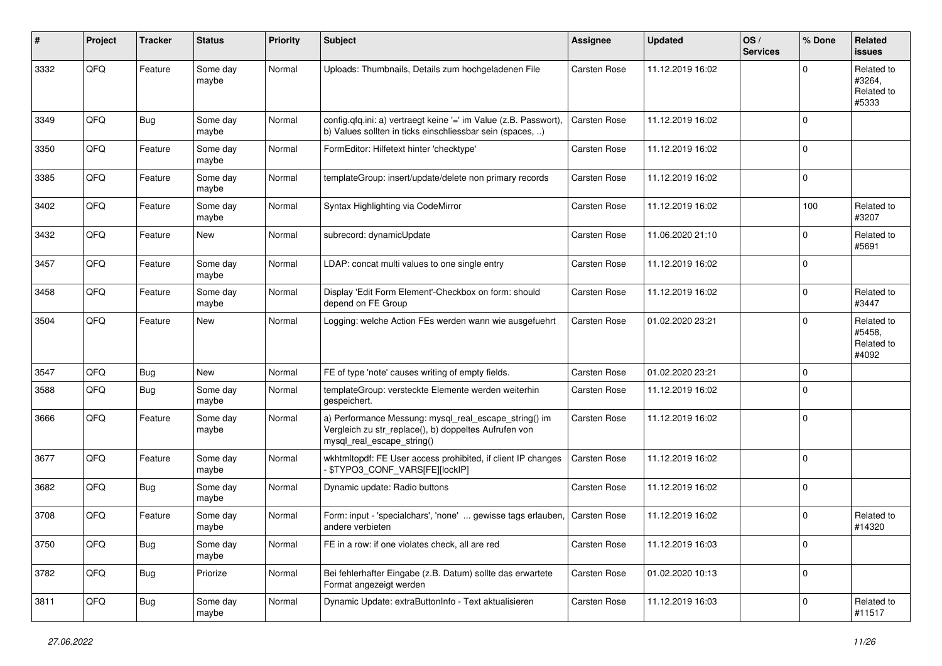| ∦    | Project | <b>Tracker</b> | <b>Status</b>     | <b>Priority</b> | Subject                                                                                                                                      | Assignee            | <b>Updated</b>   | OS/<br><b>Services</b> | % Done      | Related<br>issues                           |
|------|---------|----------------|-------------------|-----------------|----------------------------------------------------------------------------------------------------------------------------------------------|---------------------|------------------|------------------------|-------------|---------------------------------------------|
| 3332 | QFQ     | Feature        | Some day<br>maybe | Normal          | Uploads: Thumbnails, Details zum hochgeladenen File                                                                                          | Carsten Rose        | 11.12.2019 16:02 |                        | $\Omega$    | Related to<br>#3264,<br>Related to<br>#5333 |
| 3349 | QFQ     | Bug            | Some day<br>maybe | Normal          | config.qfq.ini: a) vertraegt keine '=' im Value (z.B. Passwort),<br>b) Values sollten in ticks einschliessbar sein (spaces, )                | Carsten Rose        | 11.12.2019 16:02 |                        | $\Omega$    |                                             |
| 3350 | QFQ     | Feature        | Some day<br>maybe | Normal          | FormEditor: Hilfetext hinter 'checktype'                                                                                                     | Carsten Rose        | 11.12.2019 16:02 |                        | $\mathbf 0$ |                                             |
| 3385 | QFQ     | Feature        | Some day<br>maybe | Normal          | templateGroup: insert/update/delete non primary records                                                                                      | <b>Carsten Rose</b> | 11.12.2019 16:02 |                        | 0           |                                             |
| 3402 | QFQ     | Feature        | Some day<br>maybe | Normal          | Syntax Highlighting via CodeMirror                                                                                                           | Carsten Rose        | 11.12.2019 16:02 |                        | 100         | Related to<br>#3207                         |
| 3432 | QFQ     | Feature        | New               | Normal          | subrecord: dynamicUpdate                                                                                                                     | <b>Carsten Rose</b> | 11.06.2020 21:10 |                        | $\Omega$    | Related to<br>#5691                         |
| 3457 | QFQ     | Feature        | Some day<br>maybe | Normal          | LDAP: concat multi values to one single entry                                                                                                | <b>Carsten Rose</b> | 11.12.2019 16:02 |                        | $\mathbf 0$ |                                             |
| 3458 | QFQ     | Feature        | Some day<br>maybe | Normal          | Display 'Edit Form Element'-Checkbox on form: should<br>depend on FE Group                                                                   | Carsten Rose        | 11.12.2019 16:02 |                        | $\mathbf 0$ | Related to<br>#3447                         |
| 3504 | QFQ     | Feature        | <b>New</b>        | Normal          | Logging: welche Action FEs werden wann wie ausgefuehrt                                                                                       | Carsten Rose        | 01.02.2020 23:21 |                        | $\Omega$    | Related to<br>#5458,<br>Related to<br>#4092 |
| 3547 | QFQ     | Bug            | <b>New</b>        | Normal          | FE of type 'note' causes writing of empty fields.                                                                                            | Carsten Rose        | 01.02.2020 23:21 |                        | $\mathbf 0$ |                                             |
| 3588 | QFQ     | Bug            | Some day<br>maybe | Normal          | templateGroup: versteckte Elemente werden weiterhin<br>gespeichert.                                                                          | Carsten Rose        | 11.12.2019 16:02 |                        | $\mathbf 0$ |                                             |
| 3666 | QFQ     | Feature        | Some day<br>maybe | Normal          | a) Performance Messung: mysql_real_escape_string() im<br>Vergleich zu str_replace(), b) doppeltes Aufrufen von<br>mysql_real_escape_string() | <b>Carsten Rose</b> | 11.12.2019 16:02 |                        | 0           |                                             |
| 3677 | QFQ     | Feature        | Some day<br>maybe | Normal          | wkhtmltopdf: FE User access prohibited, if client IP changes<br>\$TYPO3_CONF_VARS[FE][lockIP]                                                | <b>Carsten Rose</b> | 11.12.2019 16:02 |                        | 0           |                                             |
| 3682 | QFQ     | <b>Bug</b>     | Some day<br>maybe | Normal          | Dynamic update: Radio buttons                                                                                                                | Carsten Rose        | 11.12.2019 16:02 |                        | 0           |                                             |
| 3708 | QFQ     | Feature        | Some day<br>maybe | Normal          | Form: input - 'specialchars', 'none'  gewisse tags erlauben,<br>andere verbieten                                                             | <b>Carsten Rose</b> | 11.12.2019 16:02 |                        | $\Omega$    | Related to<br>#14320                        |
| 3750 | QFQ     | <b>Bug</b>     | Some day<br>maybe | Normal          | FE in a row: if one violates check, all are red                                                                                              | Carsten Rose        | 11.12.2019 16:03 |                        | 0           |                                             |
| 3782 | QFQ     | Bug            | Priorize          | Normal          | Bei fehlerhafter Eingabe (z.B. Datum) sollte das erwartete<br>Format angezeigt werden                                                        | Carsten Rose        | 01.02.2020 10:13 |                        | 0           |                                             |
| 3811 | QFQ     | <b>Bug</b>     | Some day<br>maybe | Normal          | Dynamic Update: extraButtonInfo - Text aktualisieren                                                                                         | Carsten Rose        | 11.12.2019 16:03 |                        | $\mathbf 0$ | Related to<br>#11517                        |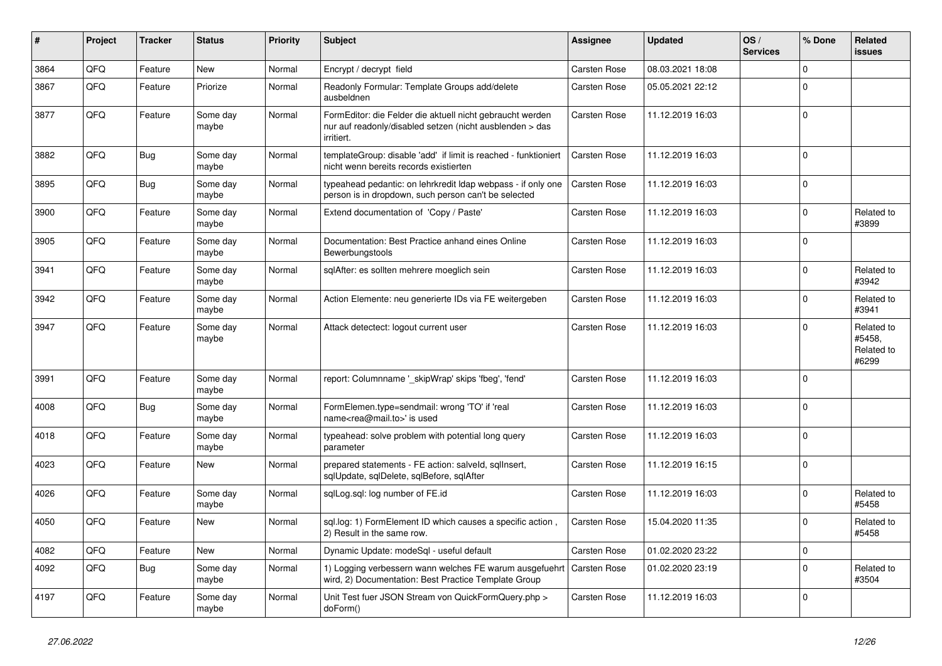| #    | Project | <b>Tracker</b> | <b>Status</b>     | <b>Priority</b> | <b>Subject</b>                                                                                                                      | Assignee            | <b>Updated</b>   | OS/<br><b>Services</b> | % Done      | Related<br><b>issues</b>                    |
|------|---------|----------------|-------------------|-----------------|-------------------------------------------------------------------------------------------------------------------------------------|---------------------|------------------|------------------------|-------------|---------------------------------------------|
| 3864 | QFQ     | Feature        | <b>New</b>        | Normal          | Encrypt / decrypt field                                                                                                             | <b>Carsten Rose</b> | 08.03.2021 18:08 |                        | $\Omega$    |                                             |
| 3867 | QFQ     | Feature        | Priorize          | Normal          | Readonly Formular: Template Groups add/delete<br>ausbeldnen                                                                         | Carsten Rose        | 05.05.2021 22:12 |                        | $\Omega$    |                                             |
| 3877 | QFQ     | Feature        | Some day<br>maybe | Normal          | FormEditor: die Felder die aktuell nicht gebraucht werden<br>nur auf readonly/disabled setzen (nicht ausblenden > das<br>irritiert. | <b>Carsten Rose</b> | 11.12.2019 16:03 |                        | $\Omega$    |                                             |
| 3882 | QFQ     | Bug            | Some day<br>maybe | Normal          | templateGroup: disable 'add' if limit is reached - funktioniert<br>nicht wenn bereits records existierten                           | <b>Carsten Rose</b> | 11.12.2019 16:03 |                        | $\mathbf 0$ |                                             |
| 3895 | QFQ     | Bug            | Some day<br>maybe | Normal          | typeahead pedantic: on lehrkredit Idap webpass - if only one<br>person is in dropdown, such person can't be selected                | <b>Carsten Rose</b> | 11.12.2019 16:03 |                        | $\Omega$    |                                             |
| 3900 | QFQ     | Feature        | Some day<br>maybe | Normal          | Extend documentation of 'Copy / Paste'                                                                                              | Carsten Rose        | 11.12.2019 16:03 |                        | $\Omega$    | Related to<br>#3899                         |
| 3905 | QFQ     | Feature        | Some day<br>maybe | Normal          | Documentation: Best Practice anhand eines Online<br>Bewerbungstools                                                                 | <b>Carsten Rose</b> | 11.12.2019 16:03 |                        | $\Omega$    |                                             |
| 3941 | QFQ     | Feature        | Some day<br>maybe | Normal          | sqlAfter: es sollten mehrere moeglich sein                                                                                          | <b>Carsten Rose</b> | 11.12.2019 16:03 |                        | $\Omega$    | Related to<br>#3942                         |
| 3942 | QFQ     | Feature        | Some day<br>maybe | Normal          | Action Elemente: neu generierte IDs via FE weitergeben                                                                              | <b>Carsten Rose</b> | 11.12.2019 16:03 |                        | $\Omega$    | Related to<br>#3941                         |
| 3947 | QFQ     | Feature        | Some day<br>maybe | Normal          | Attack detectect: logout current user                                                                                               | <b>Carsten Rose</b> | 11.12.2019 16:03 |                        | $\Omega$    | Related to<br>#5458,<br>Related to<br>#6299 |
| 3991 | QFQ     | Feature        | Some day<br>maybe | Normal          | report: Columnname '_skipWrap' skips 'fbeg', 'fend'                                                                                 | <b>Carsten Rose</b> | 11.12.2019 16:03 |                        | $\mathbf 0$ |                                             |
| 4008 | QFQ     | Bug            | Some day<br>maybe | Normal          | FormElemen.type=sendmail: wrong 'TO' if 'real<br>name <rea@mail.to>' is used</rea@mail.to>                                          | Carsten Rose        | 11.12.2019 16:03 |                        | $\Omega$    |                                             |
| 4018 | QFQ     | Feature        | Some day<br>maybe | Normal          | typeahead: solve problem with potential long query<br>parameter                                                                     | <b>Carsten Rose</b> | 11.12.2019 16:03 |                        | $\mathbf 0$ |                                             |
| 4023 | QFQ     | Feature        | <b>New</b>        | Normal          | prepared statements - FE action: salveld, sqllnsert,<br>sqlUpdate, sqlDelete, sqlBefore, sqlAfter                                   | <b>Carsten Rose</b> | 11.12.2019 16:15 |                        | $\mathbf 0$ |                                             |
| 4026 | QFQ     | Feature        | Some day<br>maybe | Normal          | sglLog.sgl: log number of FE.id                                                                                                     | <b>Carsten Rose</b> | 11.12.2019 16:03 |                        | $\Omega$    | Related to<br>#5458                         |
| 4050 | QFQ     | Feature        | <b>New</b>        | Normal          | sql.log: 1) FormElement ID which causes a specific action,<br>2) Result in the same row.                                            | <b>Carsten Rose</b> | 15.04.2020 11:35 |                        | $\Omega$    | Related to<br>#5458                         |
| 4082 | QFQ     | Feature        | <b>New</b>        | Normal          | Dynamic Update: modeSql - useful default                                                                                            | <b>Carsten Rose</b> | 01.02.2020 23:22 |                        | $\mathbf 0$ |                                             |
| 4092 | QFQ     | Bug            | Some day<br>maybe | Normal          | 1) Logging verbessern wann welches FE warum ausgefuehrt<br>wird, 2) Documentation: Best Practice Template Group                     | <b>Carsten Rose</b> | 01.02.2020 23:19 |                        | $\Omega$    | Related to<br>#3504                         |
| 4197 | QFQ     | Feature        | Some day<br>maybe | Normal          | Unit Test fuer JSON Stream von QuickFormQuery.php ><br>doForm()                                                                     | <b>Carsten Rose</b> | 11.12.2019 16:03 |                        | $\mathbf 0$ |                                             |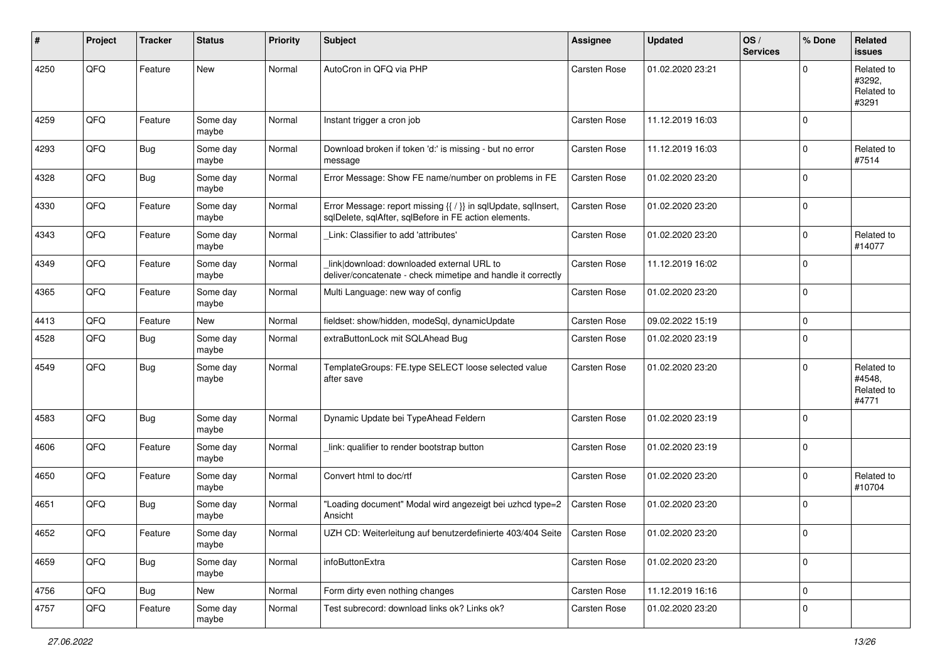| #    | Project | <b>Tracker</b> | <b>Status</b>     | <b>Priority</b> | Subject                                                                                                                 | <b>Assignee</b>     | <b>Updated</b>   | OS/<br><b>Services</b> | % Done      | Related<br>issues                           |
|------|---------|----------------|-------------------|-----------------|-------------------------------------------------------------------------------------------------------------------------|---------------------|------------------|------------------------|-------------|---------------------------------------------|
| 4250 | QFQ     | Feature        | New               | Normal          | AutoCron in QFQ via PHP                                                                                                 | Carsten Rose        | 01.02.2020 23:21 |                        | $\Omega$    | Related to<br>#3292,<br>Related to<br>#3291 |
| 4259 | QFQ     | Feature        | Some day<br>maybe | Normal          | Instant trigger a cron job                                                                                              | <b>Carsten Rose</b> | 11.12.2019 16:03 |                        | $\Omega$    |                                             |
| 4293 | QFQ     | Bug            | Some day<br>maybe | Normal          | Download broken if token 'd:' is missing - but no error<br>message                                                      | <b>Carsten Rose</b> | 11.12.2019 16:03 |                        | $\Omega$    | Related to<br>#7514                         |
| 4328 | QFQ     | Bug            | Some day<br>maybe | Normal          | Error Message: Show FE name/number on problems in FE                                                                    | <b>Carsten Rose</b> | 01.02.2020 23:20 |                        | $\Omega$    |                                             |
| 4330 | QFQ     | Feature        | Some day<br>maybe | Normal          | Error Message: report missing {{ / }} in sqlUpdate, sqlInsert,<br>sqlDelete, sqlAfter, sqlBefore in FE action elements. | Carsten Rose        | 01.02.2020 23:20 |                        | 0           |                                             |
| 4343 | QFQ     | Feature        | Some day<br>maybe | Normal          | Link: Classifier to add 'attributes'                                                                                    | <b>Carsten Rose</b> | 01.02.2020 23:20 |                        | $\Omega$    | Related to<br>#14077                        |
| 4349 | QFQ     | Feature        | Some day<br>maybe | Normal          | link download: downloaded external URL to<br>deliver/concatenate - check mimetipe and handle it correctly               | <b>Carsten Rose</b> | 11.12.2019 16:02 |                        | $\Omega$    |                                             |
| 4365 | QFQ     | Feature        | Some day<br>maybe | Normal          | Multi Language: new way of config                                                                                       | <b>Carsten Rose</b> | 01.02.2020 23:20 |                        | $\Omega$    |                                             |
| 4413 | QFQ     | Feature        | New               | Normal          | fieldset: show/hidden, modeSql, dynamicUpdate                                                                           | <b>Carsten Rose</b> | 09.02.2022 15:19 |                        | $\Omega$    |                                             |
| 4528 | QFQ     | Bug            | Some day<br>maybe | Normal          | extraButtonLock mit SQLAhead Bug                                                                                        | <b>Carsten Rose</b> | 01.02.2020 23:19 |                        | $\Omega$    |                                             |
| 4549 | QFQ     | Bug            | Some day<br>maybe | Normal          | TemplateGroups: FE.type SELECT loose selected value<br>after save                                                       | <b>Carsten Rose</b> | 01.02.2020 23:20 |                        | 0           | Related to<br>#4548.<br>Related to<br>#4771 |
| 4583 | QFQ     | Bug            | Some day<br>maybe | Normal          | Dynamic Update bei TypeAhead Feldern                                                                                    | <b>Carsten Rose</b> | 01.02.2020 23:19 |                        | $\mathbf 0$ |                                             |
| 4606 | QFQ     | Feature        | Some day<br>maybe | Normal          | link: qualifier to render bootstrap button                                                                              | <b>Carsten Rose</b> | 01.02.2020 23:19 |                        | $\mathbf 0$ |                                             |
| 4650 | QFQ     | Feature        | Some day<br>maybe | Normal          | Convert html to doc/rtf                                                                                                 | <b>Carsten Rose</b> | 01.02.2020 23:20 |                        | 0           | Related to<br>#10704                        |
| 4651 | QFQ     | Bug            | Some day<br>maybe | Normal          | "Loading document" Modal wird angezeigt bei uzhcd type=2<br>Ansicht                                                     | <b>Carsten Rose</b> | 01.02.2020 23:20 |                        | $\Omega$    |                                             |
| 4652 | QFG     | Feature        | Some day<br>maybe | Normal          | UZH CD: Weiterleitung auf benutzerdefinierte 403/404 Seite   Carsten Rose                                               |                     | 01.02.2020 23:20 |                        | 0           |                                             |
| 4659 | QFQ     | Bug            | Some day<br>maybe | Normal          | infoButtonExtra                                                                                                         | Carsten Rose        | 01.02.2020 23:20 |                        | 0           |                                             |
| 4756 | QFQ     | Bug            | New               | Normal          | Form dirty even nothing changes                                                                                         | Carsten Rose        | 11.12.2019 16:16 |                        | 0           |                                             |
| 4757 | QFQ     | Feature        | Some day<br>maybe | Normal          | Test subrecord: download links ok? Links ok?                                                                            | Carsten Rose        | 01.02.2020 23:20 |                        | 0           |                                             |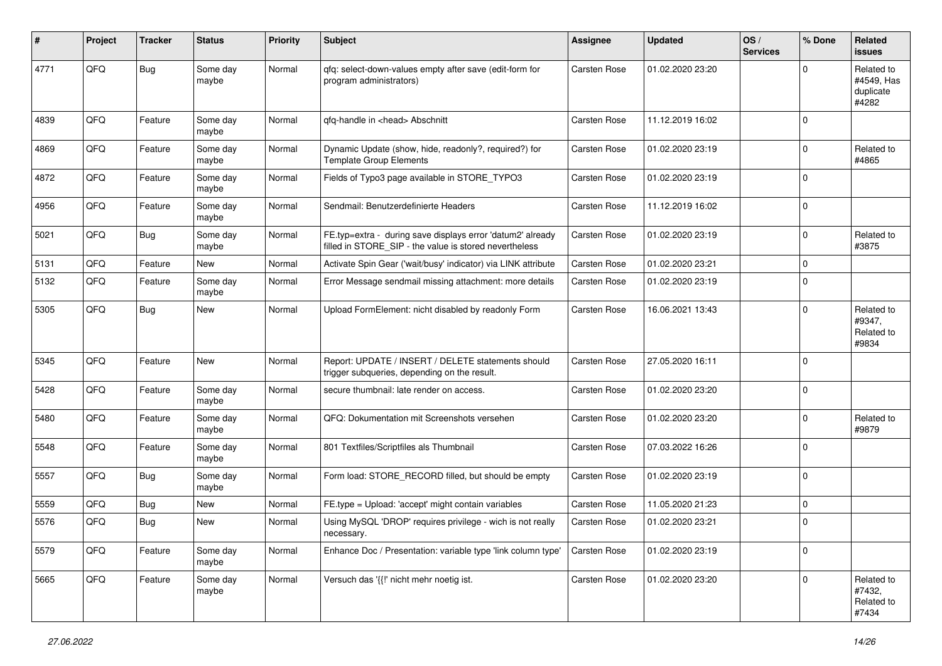| #    | Project | <b>Tracker</b> | <b>Status</b>     | <b>Priority</b> | <b>Subject</b>                                                                                                       | <b>Assignee</b>     | <b>Updated</b>   | OS/<br><b>Services</b> | % Done      | Related<br><b>issues</b>                       |
|------|---------|----------------|-------------------|-----------------|----------------------------------------------------------------------------------------------------------------------|---------------------|------------------|------------------------|-------------|------------------------------------------------|
| 4771 | QFQ     | Bug            | Some day<br>maybe | Normal          | qfq: select-down-values empty after save (edit-form for<br>program administrators)                                   | Carsten Rose        | 01.02.2020 23:20 |                        | $\Omega$    | Related to<br>#4549, Has<br>duplicate<br>#4282 |
| 4839 | QFQ     | Feature        | Some day<br>maybe | Normal          | qfq-handle in <head> Abschnitt</head>                                                                                | Carsten Rose        | 11.12.2019 16:02 |                        | $\Omega$    |                                                |
| 4869 | QFQ     | Feature        | Some day<br>maybe | Normal          | Dynamic Update (show, hide, readonly?, required?) for<br><b>Template Group Elements</b>                              | Carsten Rose        | 01.02.2020 23:19 |                        | $\mathbf 0$ | Related to<br>#4865                            |
| 4872 | QFQ     | Feature        | Some day<br>maybe | Normal          | Fields of Typo3 page available in STORE_TYPO3                                                                        | <b>Carsten Rose</b> | 01.02.2020 23:19 |                        | $\mathbf 0$ |                                                |
| 4956 | QFQ     | Feature        | Some day<br>maybe | Normal          | Sendmail: Benutzerdefinierte Headers                                                                                 | Carsten Rose        | 11.12.2019 16:02 |                        | 0           |                                                |
| 5021 | QFQ     | Bug            | Some day<br>maybe | Normal          | FE.typ=extra - during save displays error 'datum2' already<br>filled in STORE_SIP - the value is stored nevertheless | <b>Carsten Rose</b> | 01.02.2020 23:19 |                        | 0           | Related to<br>#3875                            |
| 5131 | QFQ     | Feature        | New               | Normal          | Activate Spin Gear ('wait/busy' indicator) via LINK attribute                                                        | Carsten Rose        | 01.02.2020 23:21 |                        | $\mathbf 0$ |                                                |
| 5132 | QFQ     | Feature        | Some day<br>maybe | Normal          | Error Message sendmail missing attachment: more details                                                              | <b>Carsten Rose</b> | 01.02.2020 23:19 |                        | $\mathbf 0$ |                                                |
| 5305 | QFQ     | Bug            | New               | Normal          | Upload FormElement: nicht disabled by readonly Form                                                                  | Carsten Rose        | 16.06.2021 13:43 |                        | $\mathbf 0$ | Related to<br>#9347,<br>Related to<br>#9834    |
| 5345 | QFQ     | Feature        | New               | Normal          | Report: UPDATE / INSERT / DELETE statements should<br>trigger subqueries, depending on the result.                   | Carsten Rose        | 27.05.2020 16:11 |                        | $\Omega$    |                                                |
| 5428 | QFQ     | Feature        | Some day<br>maybe | Normal          | secure thumbnail: late render on access.                                                                             | Carsten Rose        | 01.02.2020 23:20 |                        | $\mathbf 0$ |                                                |
| 5480 | QFQ     | Feature        | Some day<br>maybe | Normal          | QFQ: Dokumentation mit Screenshots versehen                                                                          | Carsten Rose        | 01.02.2020 23:20 |                        | $\mathbf 0$ | Related to<br>#9879                            |
| 5548 | QFQ     | Feature        | Some day<br>maybe | Normal          | 801 Textfiles/Scriptfiles als Thumbnail                                                                              | <b>Carsten Rose</b> | 07.03.2022 16:26 |                        | 0           |                                                |
| 5557 | QFQ     | <b>Bug</b>     | Some day<br>maybe | Normal          | Form load: STORE_RECORD filled, but should be empty                                                                  | <b>Carsten Rose</b> | 01.02.2020 23:19 |                        | $\Omega$    |                                                |
| 5559 | QFQ     | Bug            | New               | Normal          | FE.type = Upload: 'accept' might contain variables                                                                   | Carsten Rose        | 11.05.2020 21:23 |                        | $\mathbf 0$ |                                                |
| 5576 | QFQ     | Bug            | New               | Normal          | Using MySQL 'DROP' requires privilege - wich is not really<br>necessary.                                             | Carsten Rose        | 01.02.2020 23:21 |                        | $\Omega$    |                                                |
| 5579 | QFQ     | Feature        | Some day<br>maybe | Normal          | Enhance Doc / Presentation: variable type 'link column type'                                                         | Carsten Rose        | 01.02.2020 23:19 |                        | 0           |                                                |
| 5665 | QFG     | Feature        | Some day<br>maybe | Normal          | Versuch das '{{!' nicht mehr noetig ist.                                                                             | Carsten Rose        | 01.02.2020 23:20 |                        | $\mathbf 0$ | Related to<br>#7432,<br>Related to<br>#7434    |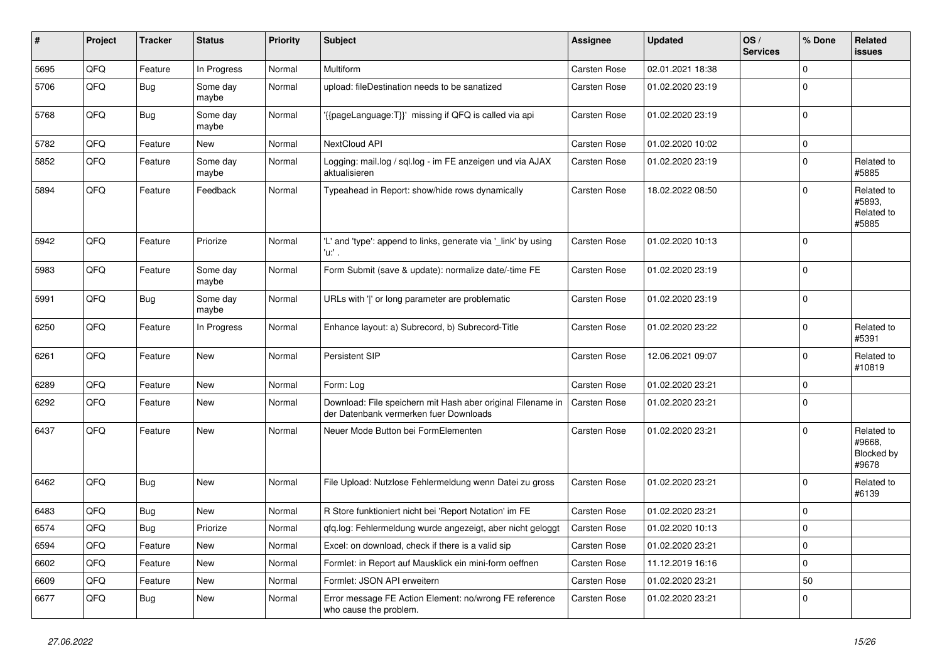| #    | Project    | <b>Tracker</b> | <b>Status</b>     | <b>Priority</b> | <b>Subject</b>                                                                                        | Assignee            | <b>Updated</b>   | OS/<br><b>Services</b> | % Done      | <b>Related</b><br><b>issues</b>             |
|------|------------|----------------|-------------------|-----------------|-------------------------------------------------------------------------------------------------------|---------------------|------------------|------------------------|-------------|---------------------------------------------|
| 5695 | QFQ        | Feature        | In Progress       | Normal          | Multiform                                                                                             | <b>Carsten Rose</b> | 02.01.2021 18:38 |                        | $\mathbf 0$ |                                             |
| 5706 | QFQ        | Bug            | Some day<br>maybe | Normal          | upload: fileDestination needs to be sanatized                                                         | Carsten Rose        | 01.02.2020 23:19 |                        | $\mathbf 0$ |                                             |
| 5768 | QFQ        | Bug            | Some day<br>maybe | Normal          | {{pageLanguage:T}}' missing if QFQ is called via api                                                  | Carsten Rose        | 01.02.2020 23:19 |                        | $\Omega$    |                                             |
| 5782 | QFQ        | Feature        | <b>New</b>        | Normal          | NextCloud API                                                                                         | <b>Carsten Rose</b> | 01.02.2020 10:02 |                        | $\mathbf 0$ |                                             |
| 5852 | QFQ        | Feature        | Some day<br>maybe | Normal          | Logging: mail.log / sql.log - im FE anzeigen und via AJAX<br>aktualisieren                            | <b>Carsten Rose</b> | 01.02.2020 23:19 |                        | $\Omega$    | Related to<br>#5885                         |
| 5894 | QFQ        | Feature        | Feedback          | Normal          | Typeahead in Report: show/hide rows dynamically                                                       | Carsten Rose        | 18.02.2022 08:50 |                        | $\mathbf 0$ | Related to<br>#5893,<br>Related to<br>#5885 |
| 5942 | QFQ        | Feature        | Priorize          | Normal          | 'L' and 'type': append to links, generate via 'link' by using<br>'u.' .                               | <b>Carsten Rose</b> | 01.02.2020 10:13 |                        | $\Omega$    |                                             |
| 5983 | QFQ        | Feature        | Some day<br>maybe | Normal          | Form Submit (save & update): normalize date/-time FE                                                  | <b>Carsten Rose</b> | 01.02.2020 23:19 |                        | $\mathbf 0$ |                                             |
| 5991 | QFQ        | <b>Bug</b>     | Some day<br>maybe | Normal          | URLs with ' ' or long parameter are problematic                                                       | Carsten Rose        | 01.02.2020 23:19 |                        | $\mathbf 0$ |                                             |
| 6250 | QFQ        | Feature        | In Progress       | Normal          | Enhance layout: a) Subrecord, b) Subrecord-Title                                                      | <b>Carsten Rose</b> | 01.02.2020 23:22 |                        | $\Omega$    | Related to<br>#5391                         |
| 6261 | QFQ        | Feature        | New               | Normal          | <b>Persistent SIP</b>                                                                                 | <b>Carsten Rose</b> | 12.06.2021 09:07 |                        | $\mathbf 0$ | Related to<br>#10819                        |
| 6289 | QFQ        | Feature        | New               | Normal          | Form: Log                                                                                             | Carsten Rose        | 01.02.2020 23:21 |                        | $\mathbf 0$ |                                             |
| 6292 | QFQ        | Feature        | New               | Normal          | Download: File speichern mit Hash aber original Filename in<br>der Datenbank vermerken fuer Downloads | Carsten Rose        | 01.02.2020 23:21 |                        | $\mathbf 0$ |                                             |
| 6437 | <b>OFO</b> | Feature        | New               | Normal          | Neuer Mode Button bei FormElementen                                                                   | <b>Carsten Rose</b> | 01.02.2020 23:21 |                        | $\Omega$    | Related to<br>#9668.<br>Blocked by<br>#9678 |
| 6462 | QFQ        | Bug            | <b>New</b>        | Normal          | File Upload: Nutzlose Fehlermeldung wenn Datei zu gross                                               | <b>Carsten Rose</b> | 01.02.2020 23:21 |                        | $\mathbf 0$ | Related to<br>#6139                         |
| 6483 | QFQ        | <b>Bug</b>     | New               | Normal          | R Store funktioniert nicht bei 'Report Notation' im FE                                                | Carsten Rose        | 01.02.2020 23:21 |                        | $\mathbf 0$ |                                             |
| 6574 | QFQ        | <b>Bug</b>     | Priorize          | Normal          | gfg.log: Fehlermeldung wurde angezeigt, aber nicht geloggt                                            | <b>Carsten Rose</b> | 01.02.2020 10:13 |                        | $\Omega$    |                                             |
| 6594 | QFQ        | Feature        | New               | Normal          | Excel: on download, check if there is a valid sip                                                     | <b>Carsten Rose</b> | 01.02.2020 23:21 |                        | $\Omega$    |                                             |
| 6602 | QFQ        | Feature        | New               | Normal          | Formlet: in Report auf Mausklick ein mini-form oeffnen                                                | <b>Carsten Rose</b> | 11.12.2019 16:16 |                        | $\Omega$    |                                             |
| 6609 | QFQ        | Feature        | New               | Normal          | Formlet: JSON API erweitern                                                                           | Carsten Rose        | 01.02.2020 23:21 |                        | 50          |                                             |
| 6677 | QFQ        | Bug            | New               | Normal          | Error message FE Action Element: no/wrong FE reference<br>who cause the problem.                      | Carsten Rose        | 01.02.2020 23:21 |                        | $\mathbf 0$ |                                             |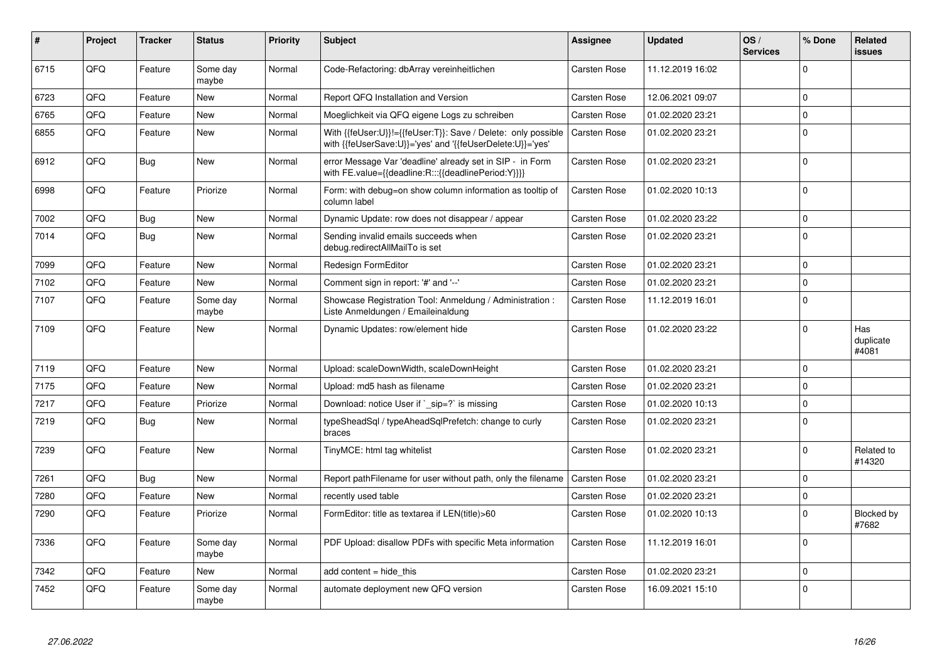| #    | Project | Tracker | <b>Status</b>     | <b>Priority</b> | <b>Subject</b>                                                                                                             | <b>Assignee</b>     | <b>Updated</b>   | OS/<br><b>Services</b> | % Done      | Related<br><b>issues</b>  |
|------|---------|---------|-------------------|-----------------|----------------------------------------------------------------------------------------------------------------------------|---------------------|------------------|------------------------|-------------|---------------------------|
| 6715 | QFQ     | Feature | Some day<br>maybe | Normal          | Code-Refactoring: dbArray vereinheitlichen                                                                                 | <b>Carsten Rose</b> | 11.12.2019 16:02 |                        | $\Omega$    |                           |
| 6723 | QFQ     | Feature | <b>New</b>        | Normal          | Report QFQ Installation and Version                                                                                        | Carsten Rose        | 12.06.2021 09:07 |                        | $\Omega$    |                           |
| 6765 | QFQ     | Feature | <b>New</b>        | Normal          | Moeglichkeit via QFQ eigene Logs zu schreiben                                                                              | Carsten Rose        | 01.02.2020 23:21 |                        | $\Omega$    |                           |
| 6855 | QFQ     | Feature | New               | Normal          | With {{feUser:U}}!={{feUser:T}}: Save / Delete: only possible<br>with {{feUserSave:U}}='yes' and '{{feUserDelete:U}}='yes' | <b>Carsten Rose</b> | 01.02.2020 23:21 |                        | $\Omega$    |                           |
| 6912 | QFQ     | Bug     | <b>New</b>        | Normal          | error Message Var 'deadline' already set in SIP - in Form<br>with FE.value={{deadline:R:::{{deadlinePeriod:Y}}}}           | Carsten Rose        | 01.02.2020 23:21 |                        | $\Omega$    |                           |
| 6998 | QFQ     | Feature | Priorize          | Normal          | Form: with debug=on show column information as tooltip of<br>column label                                                  | Carsten Rose        | 01.02.2020 10:13 |                        | $\Omega$    |                           |
| 7002 | QFQ     | Bug     | <b>New</b>        | Normal          | Dynamic Update: row does not disappear / appear                                                                            | <b>Carsten Rose</b> | 01.02.2020 23:22 |                        | $\Omega$    |                           |
| 7014 | QFQ     | Bug     | <b>New</b>        | Normal          | Sending invalid emails succeeds when<br>debug.redirectAllMailTo is set                                                     | <b>Carsten Rose</b> | 01.02.2020 23:21 |                        | $\Omega$    |                           |
| 7099 | QFQ     | Feature | New               | Normal          | Redesign FormEditor                                                                                                        | <b>Carsten Rose</b> | 01.02.2020 23:21 |                        | $\mathbf 0$ |                           |
| 7102 | QFQ     | Feature | <b>New</b>        | Normal          | Comment sign in report: '#' and '--'                                                                                       | <b>Carsten Rose</b> | 01.02.2020 23:21 |                        | $\Omega$    |                           |
| 7107 | QFQ     | Feature | Some day<br>maybe | Normal          | Showcase Registration Tool: Anmeldung / Administration :<br>Liste Anmeldungen / Emaileinaldung                             | <b>Carsten Rose</b> | 11.12.2019 16:01 |                        | $\Omega$    |                           |
| 7109 | QFQ     | Feature | <b>New</b>        | Normal          | Dynamic Updates: row/element hide                                                                                          | <b>Carsten Rose</b> | 01.02.2020 23:22 |                        | $\Omega$    | Has<br>duplicate<br>#4081 |
| 7119 | QFQ     | Feature | <b>New</b>        | Normal          | Upload: scaleDownWidth, scaleDownHeight                                                                                    | Carsten Rose        | 01.02.2020 23:21 |                        | $\Omega$    |                           |
| 7175 | QFQ     | Feature | New               | Normal          | Upload: md5 hash as filename                                                                                               | Carsten Rose        | 01.02.2020 23:21 |                        | $\Omega$    |                           |
| 7217 | QFQ     | Feature | Priorize          | Normal          | Download: notice User if `_sip=?` is missing                                                                               | Carsten Rose        | 01.02.2020 10:13 |                        | $\Omega$    |                           |
| 7219 | QFQ     | Bug     | <b>New</b>        | Normal          | typeSheadSql / typeAheadSqlPrefetch: change to curly<br>braces                                                             | <b>Carsten Rose</b> | 01.02.2020 23:21 |                        | $\Omega$    |                           |
| 7239 | QFQ     | Feature | <b>New</b>        | Normal          | TinyMCE: html tag whitelist                                                                                                | <b>Carsten Rose</b> | 01.02.2020 23:21 |                        | $\Omega$    | Related to<br>#14320      |
| 7261 | QFQ     | Bug     | <b>New</b>        | Normal          | Report pathFilename for user without path, only the filename                                                               | <b>Carsten Rose</b> | 01.02.2020 23:21 |                        | $\Omega$    |                           |
| 7280 | QFQ     | Feature | New               | Normal          | recently used table                                                                                                        | <b>Carsten Rose</b> | 01.02.2020 23:21 |                        | 0           |                           |
| 7290 | QFQ     | Feature | Priorize          | Normal          | FormEditor: title as textarea if LEN(title)>60                                                                             | <b>Carsten Rose</b> | 01.02.2020 10:13 |                        | $\Omega$    | Blocked by<br>#7682       |
| 7336 | QFQ     | Feature | Some day<br>maybe | Normal          | PDF Upload: disallow PDFs with specific Meta information                                                                   | Carsten Rose        | 11.12.2019 16:01 |                        | $\Omega$    |                           |
| 7342 | QFQ     | Feature | <b>New</b>        | Normal          | add content = hide this                                                                                                    | <b>Carsten Rose</b> | 01.02.2020 23:21 |                        | $\Omega$    |                           |
| 7452 | QFQ     | Feature | Some day<br>maybe | Normal          | automate deployment new QFQ version                                                                                        | <b>Carsten Rose</b> | 16.09.2021 15:10 |                        | $\Omega$    |                           |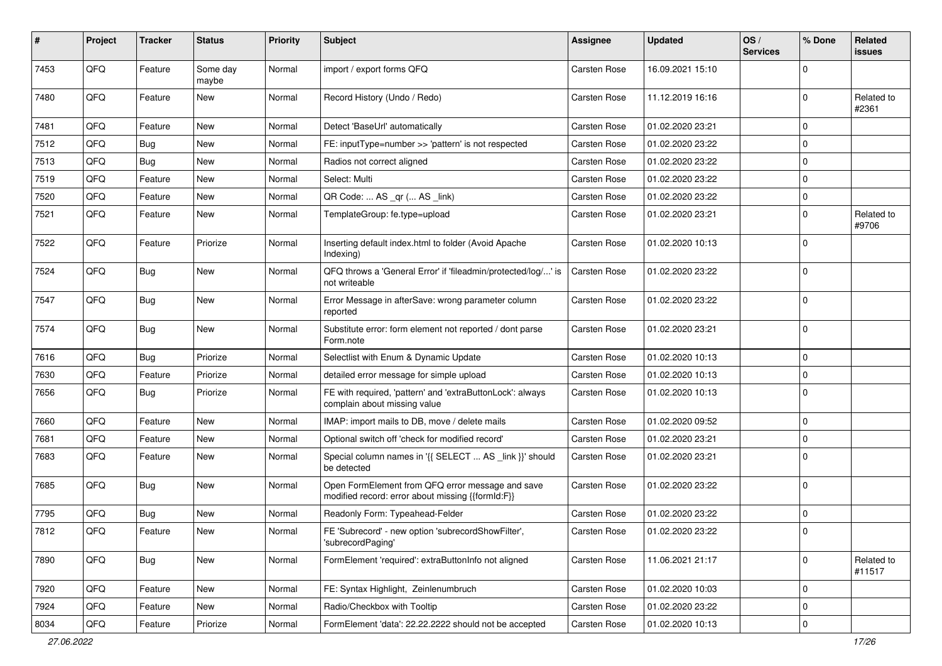| #    | Project | <b>Tracker</b> | <b>Status</b>     | <b>Priority</b> | <b>Subject</b>                                                                                        | Assignee            | <b>Updated</b>   | OS/<br><b>Services</b> | % Done      | Related<br>issues    |
|------|---------|----------------|-------------------|-----------------|-------------------------------------------------------------------------------------------------------|---------------------|------------------|------------------------|-------------|----------------------|
| 7453 | QFQ     | Feature        | Some day<br>maybe | Normal          | import / export forms QFQ                                                                             | <b>Carsten Rose</b> | 16.09.2021 15:10 |                        | O           |                      |
| 7480 | QFQ     | Feature        | New               | Normal          | Record History (Undo / Redo)                                                                          | <b>Carsten Rose</b> | 11.12.2019 16:16 |                        | 0           | Related to<br>#2361  |
| 7481 | QFQ     | Feature        | <b>New</b>        | Normal          | Detect 'BaseUrl' automatically                                                                        | <b>Carsten Rose</b> | 01.02.2020 23:21 |                        | $\Omega$    |                      |
| 7512 | QFQ     | Bug            | <b>New</b>        | Normal          | FE: inputType=number >> 'pattern' is not respected                                                    | <b>Carsten Rose</b> | 01.02.2020 23:22 |                        | $\Omega$    |                      |
| 7513 | QFQ     | Bug            | <b>New</b>        | Normal          | Radios not correct aligned                                                                            | <b>Carsten Rose</b> | 01.02.2020 23:22 |                        | 0           |                      |
| 7519 | QFQ     | Feature        | New               | Normal          | Select: Multi                                                                                         | <b>Carsten Rose</b> | 01.02.2020 23:22 |                        | 0           |                      |
| 7520 | QFQ     | Feature        | New               | Normal          | QR Code:  AS _qr ( AS _link)                                                                          | <b>Carsten Rose</b> | 01.02.2020 23:22 |                        | $\Omega$    |                      |
| 7521 | QFQ     | Feature        | New               | Normal          | TemplateGroup: fe.type=upload                                                                         | Carsten Rose        | 01.02.2020 23:21 |                        | $\Omega$    | Related to<br>#9706  |
| 7522 | QFQ     | Feature        | Priorize          | Normal          | Inserting default index.html to folder (Avoid Apache<br>Indexing)                                     | Carsten Rose        | 01.02.2020 10:13 |                        | $\Omega$    |                      |
| 7524 | QFQ     | Bug            | New               | Normal          | QFQ throws a 'General Error' if 'fileadmin/protected/log/' is<br>not writeable                        | <b>Carsten Rose</b> | 01.02.2020 23:22 |                        | $\Omega$    |                      |
| 7547 | QFQ     | Bug            | <b>New</b>        | Normal          | Error Message in afterSave: wrong parameter column<br>reported                                        | Carsten Rose        | 01.02.2020 23:22 |                        | 0           |                      |
| 7574 | QFQ     | Bug            | New               | Normal          | Substitute error: form element not reported / dont parse<br>Form.note                                 | <b>Carsten Rose</b> | 01.02.2020 23:21 |                        | $\Omega$    |                      |
| 7616 | QFQ     | Bug            | Priorize          | Normal          | Selectlist with Enum & Dynamic Update                                                                 | <b>Carsten Rose</b> | 01.02.2020 10:13 |                        | $\Omega$    |                      |
| 7630 | QFQ     | Feature        | Priorize          | Normal          | detailed error message for simple upload                                                              | <b>Carsten Rose</b> | 01.02.2020 10:13 |                        | $\Omega$    |                      |
| 7656 | QFQ     | Bug            | Priorize          | Normal          | FE with required, 'pattern' and 'extraButtonLock': always<br>complain about missing value             | <b>Carsten Rose</b> | 01.02.2020 10:13 |                        | $\mathbf 0$ |                      |
| 7660 | QFQ     | Feature        | New               | Normal          | IMAP: import mails to DB, move / delete mails                                                         | <b>Carsten Rose</b> | 01.02.2020 09:52 |                        | $\Omega$    |                      |
| 7681 | QFQ     | Feature        | New               | Normal          | Optional switch off 'check for modified record'                                                       | Carsten Rose        | 01.02.2020 23:21 |                        | $\mathbf 0$ |                      |
| 7683 | QFQ     | Feature        | New               | Normal          | Special column names in '{{ SELECT  AS _link }}' should<br>be detected                                | <b>Carsten Rose</b> | 01.02.2020 23:21 |                        | $\Omega$    |                      |
| 7685 | QFQ     | Bug            | New               | Normal          | Open FormElement from QFQ error message and save<br>modified record: error about missing {{formId:F}} | <b>Carsten Rose</b> | 01.02.2020 23:22 |                        | $\mathbf 0$ |                      |
| 7795 | QFQ     | Bug            | New               | Normal          | Readonly Form: Typeahead-Felder                                                                       | <b>Carsten Rose</b> | 01.02.2020 23:22 |                        | $\Omega$    |                      |
| 7812 | QFQ     | Feature        | New               | Normal          | FE 'Subrecord' - new option 'subrecordShowFilter',<br>'subrecordPaging'                               | Carsten Rose        | 01.02.2020 23:22 |                        | $\Omega$    |                      |
| 7890 | QFQ     | Bug            | New               | Normal          | FormElement 'required': extraButtonInfo not aligned                                                   | Carsten Rose        | 11.06.2021 21:17 |                        | $\mathbf 0$ | Related to<br>#11517 |
| 7920 | QFQ     | Feature        | New               | Normal          | FE: Syntax Highlight, Zeinlenumbruch                                                                  | Carsten Rose        | 01.02.2020 10:03 |                        | $\Omega$    |                      |
| 7924 | QFQ     | Feature        | New               | Normal          | Radio/Checkbox with Tooltip                                                                           | <b>Carsten Rose</b> | 01.02.2020 23:22 |                        | 0           |                      |
| 8034 | QFQ     | Feature        | Priorize          | Normal          | FormElement 'data': 22.22.2222 should not be accepted                                                 | Carsten Rose        | 01.02.2020 10:13 |                        | 0           |                      |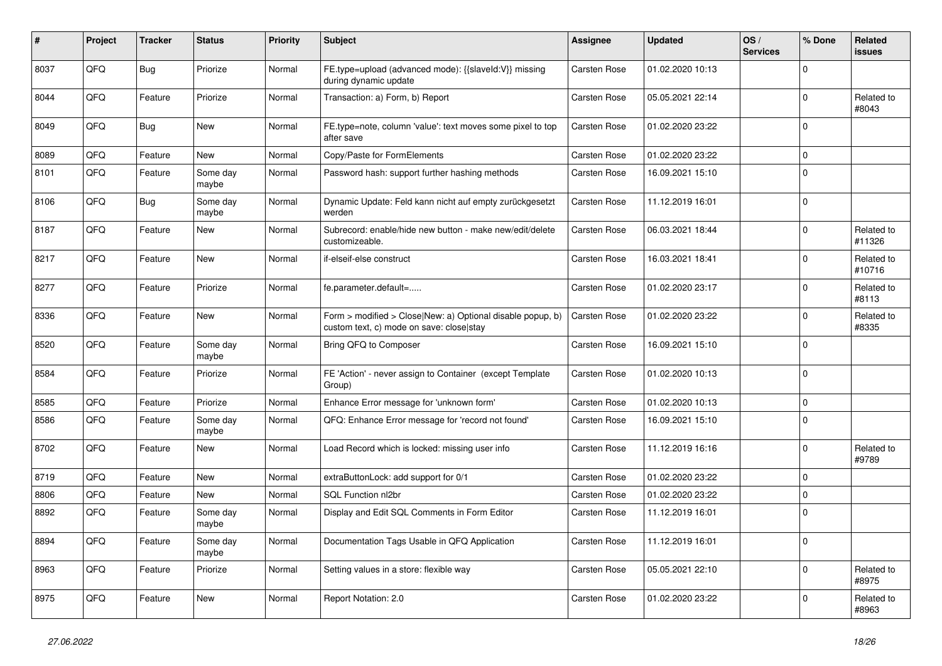| #    | Project | <b>Tracker</b> | <b>Status</b>     | <b>Priority</b> | <b>Subject</b>                                                                                         | <b>Assignee</b>     | <b>Updated</b>   | OS/<br><b>Services</b> | % Done      | Related<br>issues    |
|------|---------|----------------|-------------------|-----------------|--------------------------------------------------------------------------------------------------------|---------------------|------------------|------------------------|-------------|----------------------|
| 8037 | QFQ     | <b>Bug</b>     | Priorize          | Normal          | FE.type=upload (advanced mode): {{slaveld:V}} missing<br>during dynamic update                         | Carsten Rose        | 01.02.2020 10:13 |                        | $\Omega$    |                      |
| 8044 | QFQ     | Feature        | Priorize          | Normal          | Transaction: a) Form, b) Report                                                                        | Carsten Rose        | 05.05.2021 22:14 |                        | $\Omega$    | Related to<br>#8043  |
| 8049 | QFQ     | Bug            | New               | Normal          | FE.type=note, column 'value': text moves some pixel to top<br>after save                               | <b>Carsten Rose</b> | 01.02.2020 23:22 |                        | $\Omega$    |                      |
| 8089 | QFQ     | Feature        | New               | Normal          | Copy/Paste for FormElements                                                                            | <b>Carsten Rose</b> | 01.02.2020 23:22 |                        | $\mathbf 0$ |                      |
| 8101 | QFQ     | Feature        | Some day<br>maybe | Normal          | Password hash: support further hashing methods                                                         | Carsten Rose        | 16.09.2021 15:10 |                        | $\Omega$    |                      |
| 8106 | QFQ     | Bug            | Some day<br>maybe | Normal          | Dynamic Update: Feld kann nicht auf empty zurückgesetzt<br>werden                                      | Carsten Rose        | 11.12.2019 16:01 |                        | $\mathbf 0$ |                      |
| 8187 | QFQ     | Feature        | New               | Normal          | Subrecord: enable/hide new button - make new/edit/delete<br>customizeable.                             | <b>Carsten Rose</b> | 06.03.2021 18:44 |                        | $\Omega$    | Related to<br>#11326 |
| 8217 | QFQ     | Feature        | <b>New</b>        | Normal          | if-elseif-else construct                                                                               | <b>Carsten Rose</b> | 16.03.2021 18:41 |                        | $\Omega$    | Related to<br>#10716 |
| 8277 | QFQ     | Feature        | Priorize          | Normal          | fe.parameter.default=                                                                                  | Carsten Rose        | 01.02.2020 23:17 |                        | $\Omega$    | Related to<br>#8113  |
| 8336 | QFQ     | Feature        | New               | Normal          | Form > modified > Close New: a) Optional disable popup, b)<br>custom text, c) mode on save: close stay | Carsten Rose        | 01.02.2020 23:22 |                        | $\Omega$    | Related to<br>#8335  |
| 8520 | QFQ     | Feature        | Some day<br>maybe | Normal          | Bring QFQ to Composer                                                                                  | Carsten Rose        | 16.09.2021 15:10 |                        | $\Omega$    |                      |
| 8584 | QFQ     | Feature        | Priorize          | Normal          | FE 'Action' - never assign to Container (except Template<br>Group)                                     | Carsten Rose        | 01.02.2020 10:13 |                        | $\Omega$    |                      |
| 8585 | QFQ     | Feature        | Priorize          | Normal          | Enhance Error message for 'unknown form'                                                               | <b>Carsten Rose</b> | 01.02.2020 10:13 |                        | $\mathbf 0$ |                      |
| 8586 | QFQ     | Feature        | Some day<br>maybe | Normal          | QFQ: Enhance Error message for 'record not found'                                                      | Carsten Rose        | 16.09.2021 15:10 |                        | $\Omega$    |                      |
| 8702 | QFQ     | Feature        | <b>New</b>        | Normal          | Load Record which is locked: missing user info                                                         | Carsten Rose        | 11.12.2019 16:16 |                        | $\Omega$    | Related to<br>#9789  |
| 8719 | QFQ     | Feature        | <b>New</b>        | Normal          | extraButtonLock: add support for 0/1                                                                   | <b>Carsten Rose</b> | 01.02.2020 23:22 |                        | $\Omega$    |                      |
| 8806 | QFQ     | Feature        | <b>New</b>        | Normal          | SQL Function nl2br                                                                                     | <b>Carsten Rose</b> | 01.02.2020 23:22 |                        | $\mathbf 0$ |                      |
| 8892 | QFQ     | Feature        | Some day<br>maybe | Normal          | Display and Edit SQL Comments in Form Editor                                                           | <b>Carsten Rose</b> | 11.12.2019 16:01 |                        | $\Omega$    |                      |
| 8894 | QFQ     | Feature        | Some day<br>maybe | Normal          | Documentation Tags Usable in QFQ Application                                                           | Carsten Rose        | 11.12.2019 16:01 |                        | $\Omega$    |                      |
| 8963 | QFQ     | Feature        | Priorize          | Normal          | Setting values in a store: flexible way                                                                | Carsten Rose        | 05.05.2021 22:10 |                        | $\Omega$    | Related to<br>#8975  |
| 8975 | QFQ     | Feature        | New               | Normal          | Report Notation: 2.0                                                                                   | <b>Carsten Rose</b> | 01.02.2020 23:22 |                        | $\Omega$    | Related to<br>#8963  |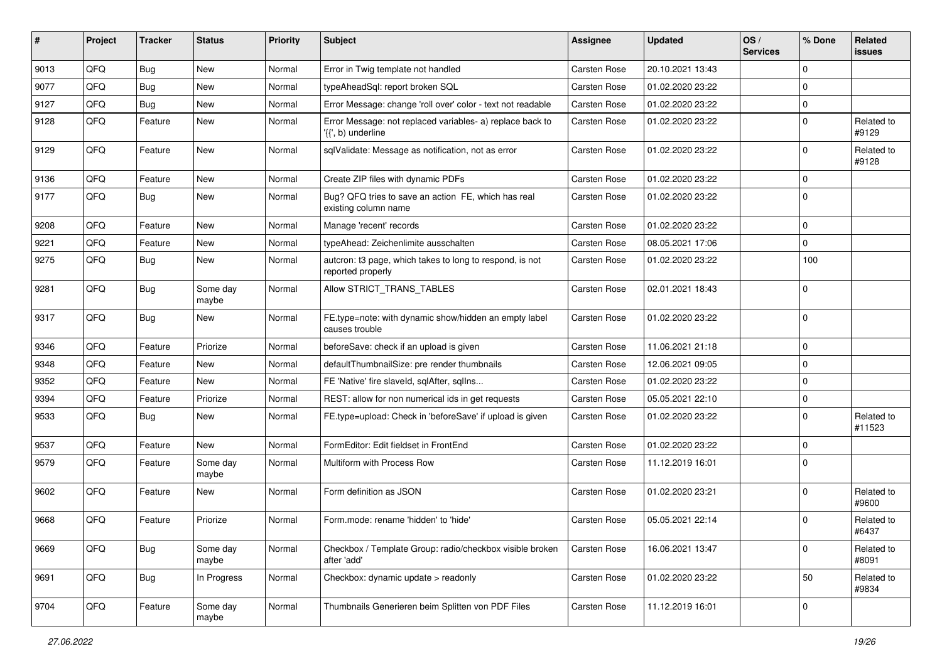| #    | Project | <b>Tracker</b> | <b>Status</b>     | <b>Priority</b> | Subject                                                                         | Assignee            | <b>Updated</b>   | OS/<br><b>Services</b> | % Done      | Related<br>issues    |
|------|---------|----------------|-------------------|-----------------|---------------------------------------------------------------------------------|---------------------|------------------|------------------------|-------------|----------------------|
| 9013 | QFQ     | Bug            | New               | Normal          | Error in Twig template not handled                                              | Carsten Rose        | 20.10.2021 13:43 |                        | $\Omega$    |                      |
| 9077 | QFQ     | Bug            | New               | Normal          | typeAheadSql: report broken SQL                                                 | Carsten Rose        | 01.02.2020 23:22 |                        | $\mathbf 0$ |                      |
| 9127 | QFQ     | <b>Bug</b>     | New               | Normal          | Error Message: change 'roll over' color - text not readable                     | Carsten Rose        | 01.02.2020 23:22 |                        | $\Omega$    |                      |
| 9128 | QFQ     | Feature        | New               | Normal          | Error Message: not replaced variables- a) replace back to<br>'{{', b) underline | Carsten Rose        | 01.02.2020 23:22 |                        | $\Omega$    | Related to<br>#9129  |
| 9129 | QFQ     | Feature        | New               | Normal          | sqlValidate: Message as notification, not as error                              | Carsten Rose        | 01.02.2020 23:22 |                        | $\Omega$    | Related to<br>#9128  |
| 9136 | QFQ     | Feature        | New               | Normal          | Create ZIP files with dynamic PDFs                                              | Carsten Rose        | 01.02.2020 23:22 |                        | $\Omega$    |                      |
| 9177 | QFQ     | Bug            | New               | Normal          | Bug? QFQ tries to save an action FE, which has real<br>existing column name     | <b>Carsten Rose</b> | 01.02.2020 23:22 |                        | $\Omega$    |                      |
| 9208 | QFQ     | Feature        | New               | Normal          | Manage 'recent' records                                                         | Carsten Rose        | 01.02.2020 23:22 |                        | $\Omega$    |                      |
| 9221 | QFQ     | Feature        | New               | Normal          | typeAhead: Zeichenlimite ausschalten                                            | Carsten Rose        | 08.05.2021 17:06 |                        | $\mathbf 0$ |                      |
| 9275 | QFQ     | Bug            | New               | Normal          | autcron: t3 page, which takes to long to respond, is not<br>reported properly   | <b>Carsten Rose</b> | 01.02.2020 23:22 |                        | 100         |                      |
| 9281 | QFQ     | <b>Bug</b>     | Some day<br>maybe | Normal          | Allow STRICT TRANS TABLES                                                       | <b>Carsten Rose</b> | 02.01.2021 18:43 |                        | $\Omega$    |                      |
| 9317 | QFQ     | Bug            | New               | Normal          | FE.type=note: with dynamic show/hidden an empty label<br>causes trouble         | <b>Carsten Rose</b> | 01.02.2020 23:22 |                        | 0           |                      |
| 9346 | QFQ     | Feature        | Priorize          | Normal          | beforeSave: check if an upload is given                                         | Carsten Rose        | 11.06.2021 21:18 |                        | $\Omega$    |                      |
| 9348 | QFQ     | Feature        | New               | Normal          | defaultThumbnailSize: pre render thumbnails                                     | <b>Carsten Rose</b> | 12.06.2021 09:05 |                        | $\Omega$    |                      |
| 9352 | QFQ     | Feature        | New               | Normal          | FE 'Native' fire slaveld, sqlAfter, sqlIns                                      | Carsten Rose        | 01.02.2020 23:22 |                        | $\mathbf 0$ |                      |
| 9394 | QFQ     | Feature        | Priorize          | Normal          | REST: allow for non numerical ids in get requests                               | <b>Carsten Rose</b> | 05.05.2021 22:10 |                        | $\mathbf 0$ |                      |
| 9533 | QFQ     | Bug            | New               | Normal          | FE.type=upload: Check in 'beforeSave' if upload is given                        | <b>Carsten Rose</b> | 01.02.2020 23:22 |                        | $\Omega$    | Related to<br>#11523 |
| 9537 | QFQ     | Feature        | <b>New</b>        | Normal          | FormEditor: Edit fieldset in FrontEnd                                           | Carsten Rose        | 01.02.2020 23:22 |                        | $\Omega$    |                      |
| 9579 | QFQ     | Feature        | Some day<br>maybe | Normal          | Multiform with Process Row                                                      | <b>Carsten Rose</b> | 11.12.2019 16:01 |                        | $\Omega$    |                      |
| 9602 | QFQ     | Feature        | New               | Normal          | Form definition as JSON                                                         | <b>Carsten Rose</b> | 01.02.2020 23:21 |                        | $\Omega$    | Related to<br>#9600  |
| 9668 | QFQ     | Feature        | Priorize          | Normal          | Form.mode: rename 'hidden' to 'hide'                                            | Carsten Rose        | 05.05.2021 22:14 |                        | $\Omega$    | Related to<br>#6437  |
| 9669 | QFQ     | Bug            | Some day<br>maybe | Normal          | Checkbox / Template Group: radio/checkbox visible broken<br>after 'add'         | Carsten Rose        | 16.06.2021 13:47 |                        | $\mathbf 0$ | Related to<br>#8091  |
| 9691 | QFQ     | Bug            | In Progress       | Normal          | Checkbox: dynamic update > readonly                                             | Carsten Rose        | 01.02.2020 23:22 |                        | 50          | Related to<br>#9834  |
| 9704 | QFQ     | Feature        | Some day<br>maybe | Normal          | Thumbnails Generieren beim Splitten von PDF Files                               | Carsten Rose        | 11.12.2019 16:01 |                        | 0           |                      |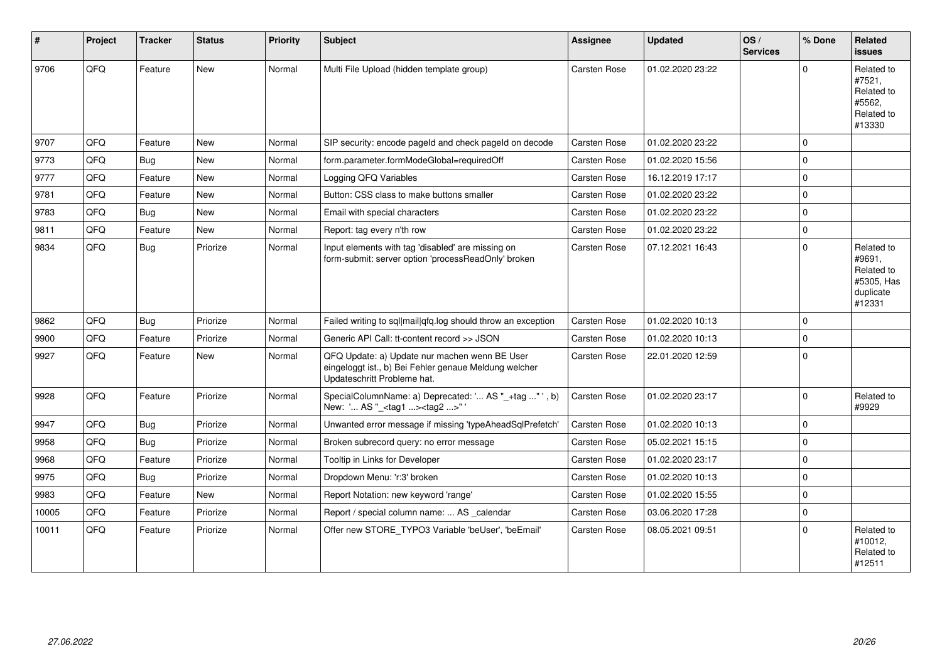| #     | Project | <b>Tracker</b> | <b>Status</b> | <b>Priority</b> | <b>Subject</b>                                                                                                                        | <b>Assignee</b>     | <b>Updated</b>   | OS/<br><b>Services</b> | % Done         | Related<br><b>issues</b>                                                |
|-------|---------|----------------|---------------|-----------------|---------------------------------------------------------------------------------------------------------------------------------------|---------------------|------------------|------------------------|----------------|-------------------------------------------------------------------------|
| 9706  | QFQ     | Feature        | New           | Normal          | Multi File Upload (hidden template group)                                                                                             | Carsten Rose        | 01.02.2020 23:22 |                        | $\Omega$       | Related to<br>#7521,<br>Related to<br>#5562,<br>Related to<br>#13330    |
| 9707  | QFQ     | Feature        | <b>New</b>    | Normal          | SIP security: encode pageld and check pageld on decode                                                                                | Carsten Rose        | 01.02.2020 23:22 |                        | $\Omega$       |                                                                         |
| 9773  | QFQ     | Bug            | <b>New</b>    | Normal          | form.parameter.formModeGlobal=requiredOff                                                                                             | Carsten Rose        | 01.02.2020 15:56 |                        | $\overline{0}$ |                                                                         |
| 9777  | QFQ     | Feature        | New           | Normal          | Logging QFQ Variables                                                                                                                 | Carsten Rose        | 16.12.2019 17:17 |                        | $\Omega$       |                                                                         |
| 9781  | QFQ     | Feature        | <b>New</b>    | Normal          | Button: CSS class to make buttons smaller                                                                                             | Carsten Rose        | 01.02.2020 23:22 |                        | $\Omega$       |                                                                         |
| 9783  | QFQ     | Bug            | New           | Normal          | Email with special characters                                                                                                         | Carsten Rose        | 01.02.2020 23:22 |                        | $\mathbf 0$    |                                                                         |
| 9811  | QFQ     | Feature        | New           | Normal          | Report: tag every n'th row                                                                                                            | Carsten Rose        | 01.02.2020 23:22 |                        | $\mathbf 0$    |                                                                         |
| 9834  | QFQ     | <b>Bug</b>     | Priorize      | Normal          | Input elements with tag 'disabled' are missing on<br>form-submit: server option 'processReadOnly' broken                              | Carsten Rose        | 07.12.2021 16:43 |                        | $\Omega$       | Related to<br>#9691,<br>Related to<br>#5305, Has<br>duplicate<br>#12331 |
| 9862  | QFQ     | Bug            | Priorize      | Normal          | Failed writing to sql mail qfq.log should throw an exception                                                                          | Carsten Rose        | 01.02.2020 10:13 |                        | $\Omega$       |                                                                         |
| 9900  | QFQ     | Feature        | Priorize      | Normal          | Generic API Call: tt-content record >> JSON                                                                                           | Carsten Rose        | 01.02.2020 10:13 |                        | $\mathbf 0$    |                                                                         |
| 9927  | QFQ     | Feature        | <b>New</b>    | Normal          | QFQ Update: a) Update nur machen wenn BE User<br>eingeloggt ist., b) Bei Fehler genaue Meldung welcher<br>Updateschritt Probleme hat. | <b>Carsten Rose</b> | 22.01.2020 12:59 |                        | 0              |                                                                         |
| 9928  | QFQ     | Feature        | Priorize      | Normal          | SpecialColumnName: a) Deprecated: ' AS "_+tag " ', b)<br>New: ' AS "_ <tag1><tag2>"</tag2></tag1>                                     | Carsten Rose        | 01.02.2020 23:17 |                        | 0              | Related to<br>#9929                                                     |
| 9947  | QFQ     | <b>Bug</b>     | Priorize      | Normal          | Unwanted error message if missing 'typeAheadSqlPrefetch'                                                                              | Carsten Rose        | 01.02.2020 10:13 |                        | $\overline{0}$ |                                                                         |
| 9958  | QFQ     | <b>Bug</b>     | Priorize      | Normal          | Broken subrecord query: no error message                                                                                              | Carsten Rose        | 05.02.2021 15:15 |                        | $\mathbf 0$    |                                                                         |
| 9968  | QFQ     | Feature        | Priorize      | Normal          | Tooltip in Links for Developer                                                                                                        | <b>Carsten Rose</b> | 01.02.2020 23:17 |                        | $\Omega$       |                                                                         |
| 9975  | QFQ     | Bug            | Priorize      | Normal          | Dropdown Menu: 'r:3' broken                                                                                                           | Carsten Rose        | 01.02.2020 10:13 |                        | $\mathbf 0$    |                                                                         |
| 9983  | QFQ     | Feature        | New           | Normal          | Report Notation: new keyword 'range'                                                                                                  | <b>Carsten Rose</b> | 01.02.2020 15:55 |                        | $\Omega$       |                                                                         |
| 10005 | QFQ     | Feature        | Priorize      | Normal          | Report / special column name:  AS _calendar                                                                                           | Carsten Rose        | 03.06.2020 17:28 |                        | $\mathbf 0$    |                                                                         |
| 10011 | QFQ     | Feature        | Priorize      | Normal          | Offer new STORE TYPO3 Variable 'beUser', 'beEmail'                                                                                    | <b>Carsten Rose</b> | 08.05.2021 09:51 |                        | 0              | Related to<br>#10012,<br>Related to<br>#12511                           |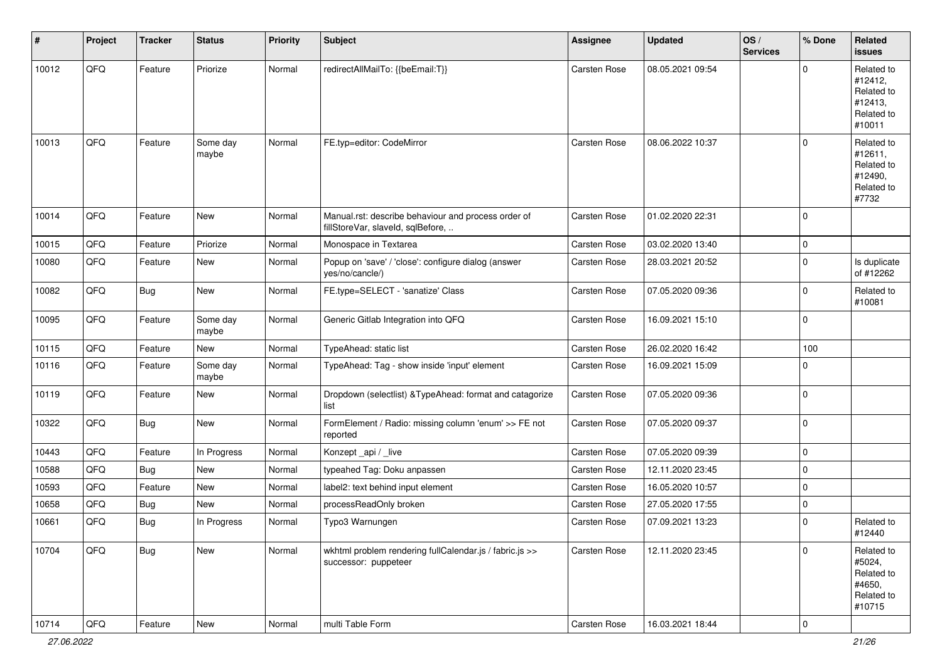| #     | Project | <b>Tracker</b> | <b>Status</b>     | <b>Priority</b> | <b>Subject</b>                                                                           | Assignee     | <b>Updated</b>   | OS/<br><b>Services</b> | % Done              | Related<br><b>issues</b>                                               |
|-------|---------|----------------|-------------------|-----------------|------------------------------------------------------------------------------------------|--------------|------------------|------------------------|---------------------|------------------------------------------------------------------------|
| 10012 | QFQ     | Feature        | Priorize          | Normal          | redirectAllMailTo: {{beEmail:T}}                                                         | Carsten Rose | 08.05.2021 09:54 |                        | $\mathbf 0$         | Related to<br>#12412,<br>Related to<br>#12413,<br>Related to<br>#10011 |
| 10013 | QFQ     | Feature        | Some day<br>maybe | Normal          | FE.typ=editor: CodeMirror                                                                | Carsten Rose | 08.06.2022 10:37 |                        | $\mathbf 0$         | Related to<br>#12611,<br>Related to<br>#12490,<br>Related to<br>#7732  |
| 10014 | QFQ     | Feature        | New               | Normal          | Manual.rst: describe behaviour and process order of<br>fillStoreVar, slaveId, sqlBefore, | Carsten Rose | 01.02.2020 22:31 |                        | $\mathbf 0$         |                                                                        |
| 10015 | QFQ     | Feature        | Priorize          | Normal          | Monospace in Textarea                                                                    | Carsten Rose | 03.02.2020 13:40 |                        | $\mathbf 0$         |                                                                        |
| 10080 | QFQ     | Feature        | New               | Normal          | Popup on 'save' / 'close': configure dialog (answer<br>yes/no/cancle/)                   | Carsten Rose | 28.03.2021 20:52 |                        | $\mathbf 0$         | Is duplicate<br>of #12262                                              |
| 10082 | QFQ     | <b>Bug</b>     | New               | Normal          | FE.type=SELECT - 'sanatize' Class                                                        | Carsten Rose | 07.05.2020 09:36 |                        | $\mathbf 0$         | Related to<br>#10081                                                   |
| 10095 | QFQ     | Feature        | Some day<br>maybe | Normal          | Generic Gitlab Integration into QFQ                                                      | Carsten Rose | 16.09.2021 15:10 |                        | $\mathbf 0$         |                                                                        |
| 10115 | QFQ     | Feature        | New               | Normal          | TypeAhead: static list                                                                   | Carsten Rose | 26.02.2020 16:42 |                        | 100                 |                                                                        |
| 10116 | QFQ     | Feature        | Some day<br>maybe | Normal          | TypeAhead: Tag - show inside 'input' element                                             | Carsten Rose | 16.09.2021 15:09 |                        | $\mathbf 0$         |                                                                        |
| 10119 | QFQ     | Feature        | New               | Normal          | Dropdown (selectlist) & TypeAhead: format and catagorize<br>list                         | Carsten Rose | 07.05.2020 09:36 |                        | $\mathbf 0$         |                                                                        |
| 10322 | QFQ     | <b>Bug</b>     | New               | Normal          | FormElement / Radio: missing column 'enum' >> FE not<br>reported                         | Carsten Rose | 07.05.2020 09:37 |                        | $\mathbf 0$         |                                                                        |
| 10443 | QFQ     | Feature        | In Progress       | Normal          | Konzept_api / _live                                                                      | Carsten Rose | 07.05.2020 09:39 |                        | $\mathsf{O}\xspace$ |                                                                        |
| 10588 | QFQ     | Bug            | New               | Normal          | typeahed Tag: Doku anpassen                                                              | Carsten Rose | 12.11.2020 23:45 |                        | $\mathbf 0$         |                                                                        |
| 10593 | QFQ     | Feature        | New               | Normal          | label2: text behind input element                                                        | Carsten Rose | 16.05.2020 10:57 |                        | $\mathbf 0$         |                                                                        |
| 10658 | QFQ     | Bug            | New               | Normal          | processReadOnly broken                                                                   | Carsten Rose | 27.05.2020 17:55 |                        | $\mathbf 0$         |                                                                        |
| 10661 | QFQ     | <b>Bug</b>     | In Progress       | Normal          | Typo3 Warnungen                                                                          | Carsten Rose | 07.09.2021 13:23 |                        | $\mathbf 0$         | Related to<br>#12440                                                   |
| 10704 | QFQ     | <b>Bug</b>     | New               | Normal          | wkhtml problem rendering fullCalendar.js / fabric.js >><br>successor: puppeteer          | Carsten Rose | 12.11.2020 23:45 |                        | $\mathbf 0$         | Related to<br>#5024,<br>Related to<br>#4650,<br>Related to<br>#10715   |
| 10714 | QFG     | Feature        | New               | Normal          | multi Table Form                                                                         | Carsten Rose | 16.03.2021 18:44 |                        | 0                   |                                                                        |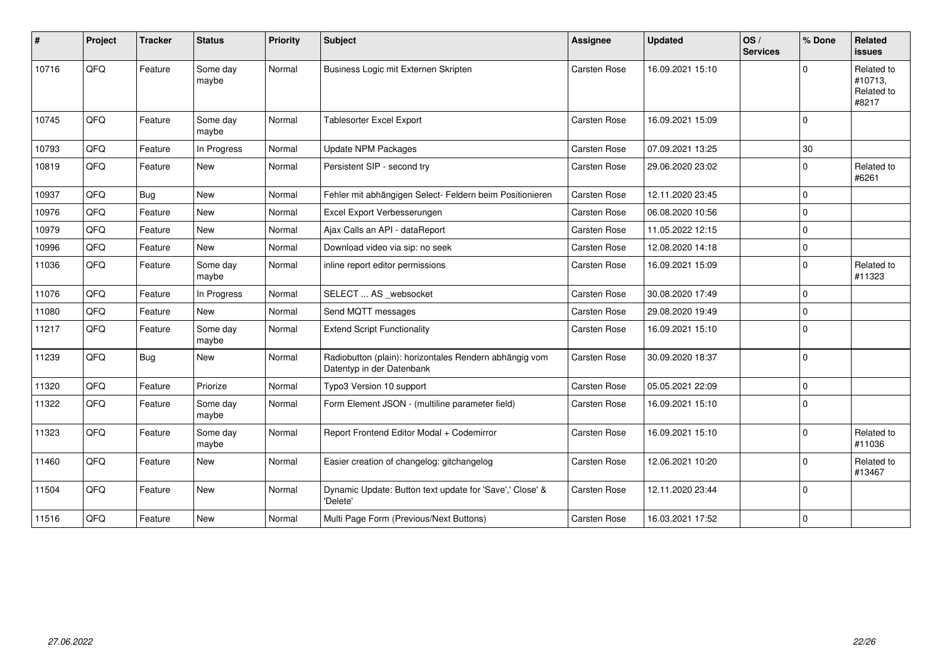| #     | Project | <b>Tracker</b> | <b>Status</b>     | <b>Priority</b> | <b>Subject</b>                                                                      | <b>Assignee</b>     | <b>Updated</b>   | OS/<br><b>Services</b> | % Done       | Related<br><b>issues</b>                     |
|-------|---------|----------------|-------------------|-----------------|-------------------------------------------------------------------------------------|---------------------|------------------|------------------------|--------------|----------------------------------------------|
| 10716 | QFQ     | Feature        | Some day<br>maybe | Normal          | Business Logic mit Externen Skripten                                                | Carsten Rose        | 16.09.2021 15:10 |                        | U            | Related to<br>#10713,<br>Related to<br>#8217 |
| 10745 | QFQ     | Feature        | Some day<br>maybe | Normal          | <b>Tablesorter Excel Export</b>                                                     | <b>Carsten Rose</b> | 16.09.2021 15:09 |                        | $\mathbf{0}$ |                                              |
| 10793 | QFQ     | Feature        | In Progress       | Normal          | <b>Update NPM Packages</b>                                                          | Carsten Rose        | 07.09.2021 13:25 |                        | 30           |                                              |
| 10819 | QFQ     | Feature        | <b>New</b>        | Normal          | Persistent SIP - second try                                                         | <b>Carsten Rose</b> | 29.06.2020 23:02 |                        | $\Omega$     | Related to<br>#6261                          |
| 10937 | QFQ     | Bug            | New               | Normal          | Fehler mit abhängigen Select- Feldern beim Positionieren                            | Carsten Rose        | 12.11.2020 23:45 |                        | $\Omega$     |                                              |
| 10976 | QFQ     | Feature        | <b>New</b>        | Normal          | Excel Export Verbesserungen                                                         | Carsten Rose        | 06.08.2020 10:56 |                        | $\Omega$     |                                              |
| 10979 | QFQ     | Feature        | New               | Normal          | Ajax Calls an API - dataReport                                                      | <b>Carsten Rose</b> | 11.05.2022 12:15 |                        | $\Omega$     |                                              |
| 10996 | QFQ     | Feature        | <b>New</b>        | Normal          | Download video via sip: no seek                                                     | <b>Carsten Rose</b> | 12.08.2020 14:18 |                        | 0            |                                              |
| 11036 | QFQ     | Feature        | Some day<br>maybe | Normal          | inline report editor permissions                                                    | <b>Carsten Rose</b> | 16.09.2021 15:09 |                        | $\Omega$     | Related to<br>#11323                         |
| 11076 | QFQ     | Feature        | In Progress       | Normal          | SELECT  AS _websocket                                                               | <b>Carsten Rose</b> | 30.08.2020 17:49 |                        | $\mathbf 0$  |                                              |
| 11080 | QFG     | Feature        | <b>New</b>        | Normal          | Send MQTT messages                                                                  | <b>Carsten Rose</b> | 29.08.2020 19:49 |                        | $\Omega$     |                                              |
| 11217 | QFQ     | Feature        | Some day<br>maybe | Normal          | <b>Extend Script Functionality</b>                                                  | <b>Carsten Rose</b> | 16.09.2021 15:10 |                        | $\Omega$     |                                              |
| 11239 | QFQ     | Bug            | New               | Normal          | Radiobutton (plain): horizontales Rendern abhängig vom<br>Datentyp in der Datenbank | Carsten Rose        | 30.09.2020 18:37 |                        | $\Omega$     |                                              |
| 11320 | QFQ     | Feature        | Priorize          | Normal          | Typo3 Version 10 support                                                            | <b>Carsten Rose</b> | 05.05.2021 22:09 |                        | $\mathbf 0$  |                                              |
| 11322 | QFQ     | Feature        | Some day<br>maybe | Normal          | Form Element JSON - (multiline parameter field)                                     | <b>Carsten Rose</b> | 16.09.2021 15:10 |                        | $\Omega$     |                                              |
| 11323 | QFQ     | Feature        | Some day<br>maybe | Normal          | Report Frontend Editor Modal + Codemirror                                           | <b>Carsten Rose</b> | 16.09.2021 15:10 |                        | $\Omega$     | Related to<br>#11036                         |
| 11460 | QFQ     | Feature        | <b>New</b>        | Normal          | Easier creation of changelog: gitchangelog                                          | <b>Carsten Rose</b> | 12.06.2021 10:20 |                        | $\Omega$     | Related to<br>#13467                         |
| 11504 | QFQ     | Feature        | New               | Normal          | Dynamic Update: Button text update for 'Save',' Close' &<br>'Delete'                | Carsten Rose        | 12.11.2020 23:44 |                        | $\Omega$     |                                              |
| 11516 | QFQ     | Feature        | New               | Normal          | Multi Page Form (Previous/Next Buttons)                                             | <b>Carsten Rose</b> | 16.03.2021 17:52 |                        | $\mathbf 0$  |                                              |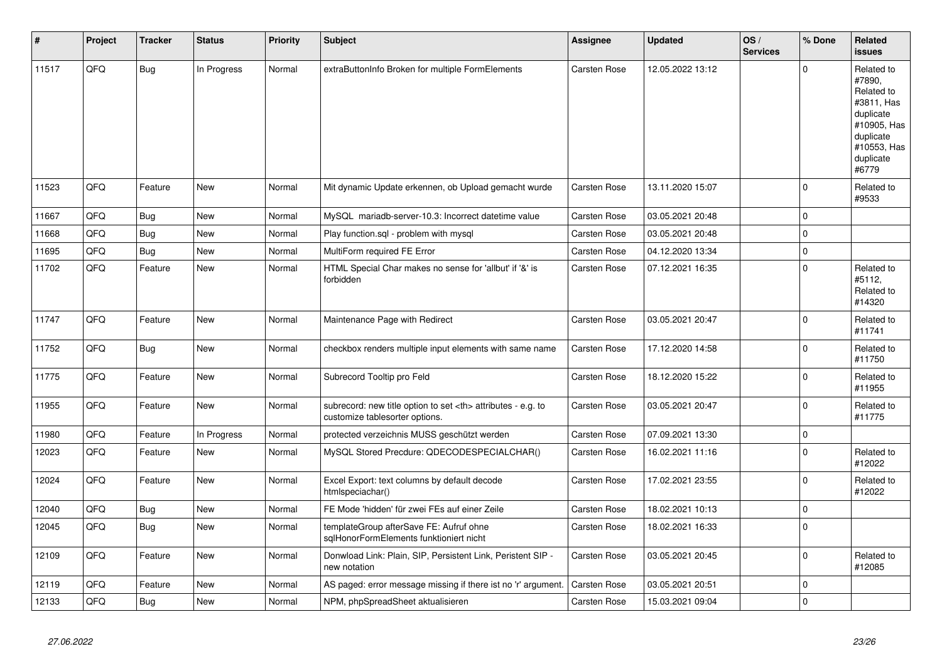| #     | Project | <b>Tracker</b> | <b>Status</b> | <b>Priority</b> | <b>Subject</b>                                                                                       | Assignee                                               | <b>Updated</b>   | OS/<br><b>Services</b> | % Done         | Related<br><b>issues</b>                                                                                                       |                      |
|-------|---------|----------------|---------------|-----------------|------------------------------------------------------------------------------------------------------|--------------------------------------------------------|------------------|------------------------|----------------|--------------------------------------------------------------------------------------------------------------------------------|----------------------|
| 11517 | QFQ     | <b>Bug</b>     | In Progress   | Normal          | extraButtonInfo Broken for multiple FormElements                                                     | <b>Carsten Rose</b>                                    | 12.05.2022 13:12 |                        | $\Omega$       | Related to<br>#7890,<br>Related to<br>#3811, Has<br>duplicate<br>#10905, Has<br>duplicate<br>#10553, Has<br>duplicate<br>#6779 |                      |
| 11523 | QFQ     | Feature        | <b>New</b>    | Normal          | Mit dynamic Update erkennen, ob Upload gemacht wurde                                                 | <b>Carsten Rose</b>                                    | 13.11.2020 15:07 |                        | $\Omega$       | Related to<br>#9533                                                                                                            |                      |
| 11667 | QFQ     | <b>Bug</b>     | <b>New</b>    | Normal          | MySQL mariadb-server-10.3: Incorrect datetime value                                                  | <b>Carsten Rose</b>                                    | 03.05.2021 20:48 |                        | $\Omega$       |                                                                                                                                |                      |
| 11668 | QFQ     | Bug            | <b>New</b>    | Normal          | Play function.sgl - problem with mysgl                                                               | <b>Carsten Rose</b>                                    | 03.05.2021 20:48 |                        | $\mathbf 0$    |                                                                                                                                |                      |
| 11695 | QFQ     | <b>Bug</b>     | <b>New</b>    | Normal          | MultiForm required FE Error                                                                          | Carsten Rose                                           | 04.12.2020 13:34 |                        | $\mathbf 0$    |                                                                                                                                |                      |
| 11702 | QFQ     | Feature        | New           | Normal          | HTML Special Char makes no sense for 'allbut' if '&' is<br>forbidden                                 | <b>Carsten Rose</b>                                    | 07.12.2021 16:35 |                        | $\Omega$       | Related to<br>#5112,<br>Related to<br>#14320                                                                                   |                      |
| 11747 | QFQ     | Feature        | New           | Normal          | Maintenance Page with Redirect                                                                       | <b>Carsten Rose</b>                                    | 03.05.2021 20:47 |                        | $\Omega$       | Related to<br>#11741                                                                                                           |                      |
| 11752 | QFQ     | Bug            | New           | Normal          | checkbox renders multiple input elements with same name                                              | Carsten Rose                                           | 17.12.2020 14:58 |                        | $\Omega$       | Related to<br>#11750                                                                                                           |                      |
| 11775 | QFQ     | Feature        | New           | Normal          | Subrecord Tooltip pro Feld                                                                           | Carsten Rose                                           | 18.12.2020 15:22 |                        | $\Omega$       | Related to<br>#11955                                                                                                           |                      |
| 11955 | QFQ     | Feature        | <b>New</b>    | Normal          | subrecord: new title option to set <th> attributes - e.g. to<br/>customize tablesorter options.</th> | attributes - e.g. to<br>customize tablesorter options. | Carsten Rose     | 03.05.2021 20:47       |                | $\mathbf 0$                                                                                                                    | Related to<br>#11775 |
| 11980 | QFQ     | Feature        | In Progress   | Normal          | protected verzeichnis MUSS geschützt werden                                                          | <b>Carsten Rose</b>                                    | 07.09.2021 13:30 |                        | $\mathbf 0$    |                                                                                                                                |                      |
| 12023 | QFQ     | Feature        | <b>New</b>    | Normal          | MySQL Stored Precdure: QDECODESPECIALCHAR()                                                          | Carsten Rose                                           | 16.02.2021 11:16 |                        | $\mathbf 0$    | Related to<br>#12022                                                                                                           |                      |
| 12024 | QFQ     | Feature        | <b>New</b>    | Normal          | Excel Export: text columns by default decode<br>htmlspeciachar()                                     | <b>Carsten Rose</b>                                    | 17.02.2021 23:55 |                        | $\Omega$       | Related to<br>#12022                                                                                                           |                      |
| 12040 | QFQ     | Bug            | <b>New</b>    | Normal          | FE Mode 'hidden' für zwei FEs auf einer Zeile                                                        | <b>Carsten Rose</b>                                    | 18.02.2021 10:13 |                        | $\overline{0}$ |                                                                                                                                |                      |
| 12045 | QFQ     | Bug            | New           | Normal          | templateGroup afterSave FE: Aufruf ohne<br>sqlHonorFormElements funktioniert nicht                   | <b>Carsten Rose</b>                                    | 18.02.2021 16:33 |                        | $\Omega$       |                                                                                                                                |                      |
| 12109 | QFQ     | Feature        | New           | Normal          | Donwload Link: Plain, SIP, Persistent Link, Peristent SIP -<br>new notation                          | <b>Carsten Rose</b>                                    | 03.05.2021 20:45 |                        | $\mathbf 0$    | Related to<br>#12085                                                                                                           |                      |
| 12119 | QFQ     | Feature        | New           | Normal          | AS paged: error message missing if there ist no 'r' argument.                                        | <b>Carsten Rose</b>                                    | 03.05.2021 20:51 |                        | $\mathbf 0$    |                                                                                                                                |                      |
| 12133 | QFQ     | <b>Bug</b>     | New           | Normal          | NPM, phpSpreadSheet aktualisieren                                                                    | <b>Carsten Rose</b>                                    | 15.03.2021 09:04 |                        | 0              |                                                                                                                                |                      |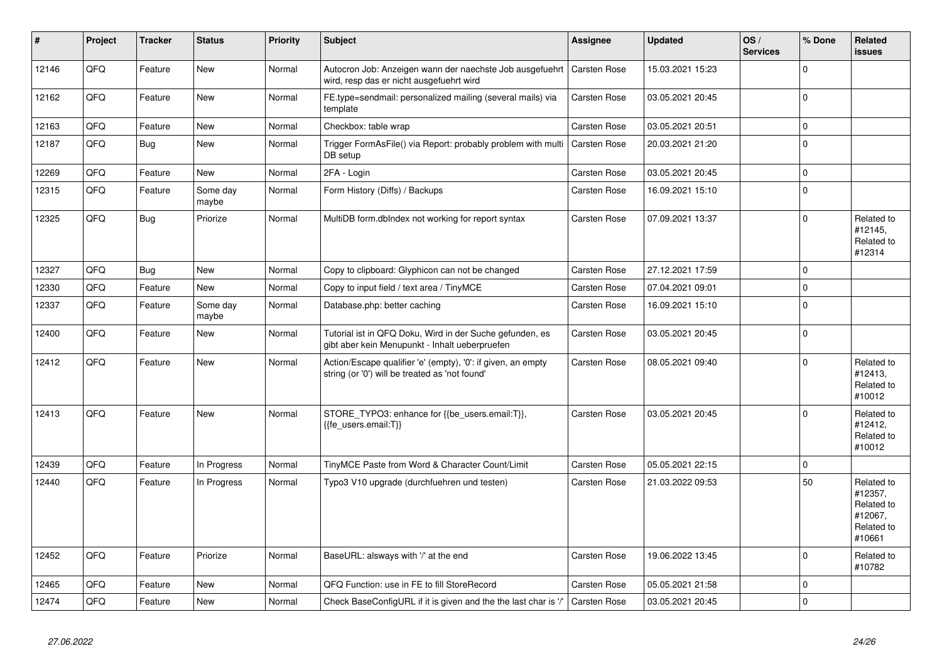| $\pmb{\sharp}$ | Project | <b>Tracker</b> | <b>Status</b>     | <b>Priority</b> | <b>Subject</b>                                                                                                 | Assignee            | <b>Updated</b>   | OS/<br><b>Services</b> | % Done         | Related<br><b>issues</b>                                               |
|----------------|---------|----------------|-------------------|-----------------|----------------------------------------------------------------------------------------------------------------|---------------------|------------------|------------------------|----------------|------------------------------------------------------------------------|
| 12146          | QFQ     | Feature        | <b>New</b>        | Normal          | Autocron Job: Anzeigen wann der naechste Job ausgefuehrt<br>wird, resp das er nicht ausgefuehrt wird           | <b>Carsten Rose</b> | 15.03.2021 15:23 |                        | $\Omega$       |                                                                        |
| 12162          | QFQ     | Feature        | <b>New</b>        | Normal          | FE.type=sendmail: personalized mailing (several mails) via<br>template                                         | <b>Carsten Rose</b> | 03.05.2021 20:45 |                        | $\overline{0}$ |                                                                        |
| 12163          | QFQ     | Feature        | <b>New</b>        | Normal          | Checkbox: table wrap                                                                                           | <b>Carsten Rose</b> | 03.05.2021 20:51 |                        | $\mathbf 0$    |                                                                        |
| 12187          | QFQ     | Bug            | <b>New</b>        | Normal          | Trigger FormAsFile() via Report: probably problem with multi<br>DB setup                                       | <b>Carsten Rose</b> | 20.03.2021 21:20 |                        | $\Omega$       |                                                                        |
| 12269          | QFQ     | Feature        | New               | Normal          | 2FA - Login                                                                                                    | Carsten Rose        | 03.05.2021 20:45 |                        | $\mathbf 0$    |                                                                        |
| 12315          | QFQ     | Feature        | Some day<br>maybe | Normal          | Form History (Diffs) / Backups                                                                                 | <b>Carsten Rose</b> | 16.09.2021 15:10 |                        | $\Omega$       |                                                                        |
| 12325          | QFQ     | <b>Bug</b>     | Priorize          | Normal          | MultiDB form.dblndex not working for report syntax                                                             | <b>Carsten Rose</b> | 07.09.2021 13:37 |                        | $\Omega$       | Related to<br>#12145,<br>Related to<br>#12314                          |
| 12327          | QFQ     | <b>Bug</b>     | <b>New</b>        | Normal          | Copy to clipboard: Glyphicon can not be changed                                                                | Carsten Rose        | 27.12.2021 17:59 |                        | $\overline{0}$ |                                                                        |
| 12330          | QFQ     | Feature        | <b>New</b>        | Normal          | Copy to input field / text area / TinyMCE                                                                      | Carsten Rose        | 07.04.2021 09:01 |                        | $\mathbf 0$    |                                                                        |
| 12337          | QFQ     | Feature        | Some day<br>maybe | Normal          | Database.php: better caching                                                                                   | <b>Carsten Rose</b> | 16.09.2021 15:10 |                        | $\Omega$       |                                                                        |
| 12400          | QFQ     | Feature        | <b>New</b>        | Normal          | Tutorial ist in QFQ Doku, Wird in der Suche gefunden, es<br>gibt aber kein Menupunkt - Inhalt ueberpruefen     | Carsten Rose        | 03.05.2021 20:45 |                        | $\Omega$       |                                                                        |
| 12412          | QFQ     | Feature        | <b>New</b>        | Normal          | Action/Escape qualifier 'e' (empty), '0': if given, an empty<br>string (or '0') will be treated as 'not found' | <b>Carsten Rose</b> | 08.05.2021 09:40 |                        | $\Omega$       | Related to<br>#12413,<br>Related to<br>#10012                          |
| 12413          | QFQ     | Feature        | New               | Normal          | STORE_TYPO3: enhance for {{be_users.email:T}},<br>{{fe users.email:T}}                                         | Carsten Rose        | 03.05.2021 20:45 |                        | $\mathbf 0$    | Related to<br>#12412,<br>Related to<br>#10012                          |
| 12439          | QFQ     | Feature        | In Progress       | Normal          | TinyMCE Paste from Word & Character Count/Limit                                                                | Carsten Rose        | 05.05.2021 22:15 |                        | $\mathbf 0$    |                                                                        |
| 12440          | QFQ     | Feature        | In Progress       | Normal          | Typo3 V10 upgrade (durchfuehren und testen)                                                                    | <b>Carsten Rose</b> | 21.03.2022 09:53 |                        | 50             | Related to<br>#12357,<br>Related to<br>#12067,<br>Related to<br>#10661 |
| 12452          | QFQ     | Feature        | Priorize          | Normal          | BaseURL: alsways with '/' at the end                                                                           | <b>Carsten Rose</b> | 19.06.2022 13:45 |                        | $\Omega$       | Related to<br>#10782                                                   |
| 12465          | QFQ     | Feature        | <b>New</b>        | Normal          | QFQ Function: use in FE to fill StoreRecord                                                                    | Carsten Rose        | 05.05.2021 21:58 |                        | $\Omega$       |                                                                        |
| 12474          | QFQ     | Feature        | <b>New</b>        | Normal          | Check BaseConfigURL if it is given and the the last char is '/'                                                | <b>Carsten Rose</b> | 03.05.2021 20:45 |                        | $\Omega$       |                                                                        |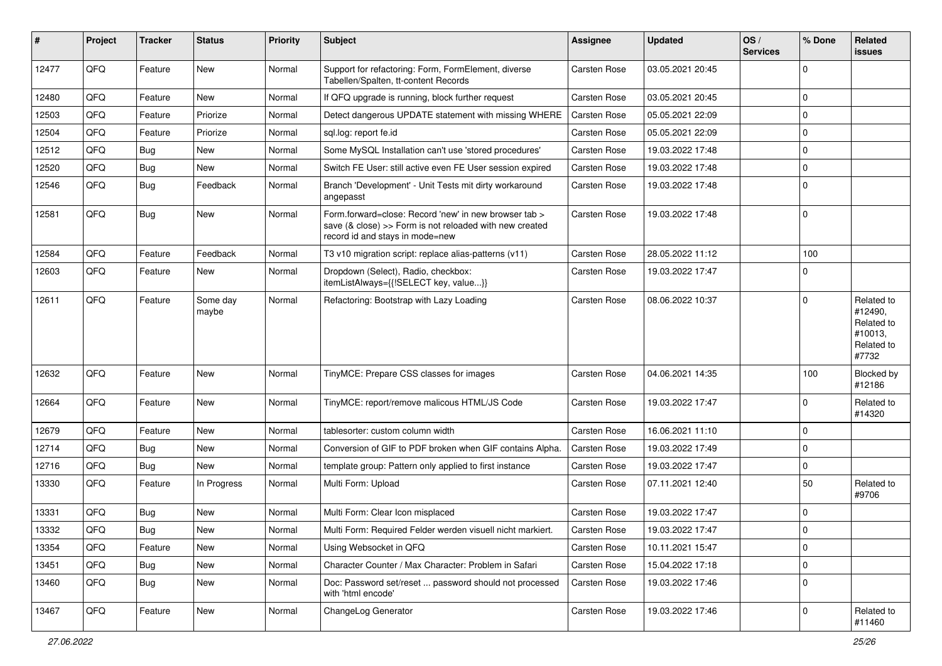| ∦     | Project | <b>Tracker</b> | <b>Status</b>     | <b>Priority</b> | Subject                                                                                                                                             | <b>Assignee</b>     | <b>Updated</b>   | OS/<br><b>Services</b> | % Done      | Related<br>issues                                                     |
|-------|---------|----------------|-------------------|-----------------|-----------------------------------------------------------------------------------------------------------------------------------------------------|---------------------|------------------|------------------------|-------------|-----------------------------------------------------------------------|
| 12477 | QFQ     | Feature        | <b>New</b>        | Normal          | Support for refactoring: Form, FormElement, diverse<br>Tabellen/Spalten, tt-content Records                                                         | <b>Carsten Rose</b> | 03.05.2021 20:45 |                        | $\Omega$    |                                                                       |
| 12480 | QFQ     | Feature        | New               | Normal          | If QFQ upgrade is running, block further request                                                                                                    | <b>Carsten Rose</b> | 03.05.2021 20:45 |                        | 0           |                                                                       |
| 12503 | QFQ     | Feature        | Priorize          | Normal          | Detect dangerous UPDATE statement with missing WHERE                                                                                                | <b>Carsten Rose</b> | 05.05.2021 22:09 |                        | $\Omega$    |                                                                       |
| 12504 | QFQ     | Feature        | Priorize          | Normal          | sql.log: report fe.id                                                                                                                               | <b>Carsten Rose</b> | 05.05.2021 22:09 |                        | 0           |                                                                       |
| 12512 | QFQ     | Bug            | New               | Normal          | Some MySQL Installation can't use 'stored procedures'                                                                                               | <b>Carsten Rose</b> | 19.03.2022 17:48 |                        | $\mathbf 0$ |                                                                       |
| 12520 | QFQ     | Bug            | New               | Normal          | Switch FE User: still active even FE User session expired                                                                                           | <b>Carsten Rose</b> | 19.03.2022 17:48 |                        | $\mathbf 0$ |                                                                       |
| 12546 | QFQ     | Bug            | Feedback          | Normal          | Branch 'Development' - Unit Tests mit dirty workaround<br>angepasst                                                                                 | <b>Carsten Rose</b> | 19.03.2022 17:48 |                        | $\Omega$    |                                                                       |
| 12581 | QFQ     | Bug            | New               | Normal          | Form.forward=close: Record 'new' in new browser tab ><br>save (& close) >> Form is not reloaded with new created<br>record id and stays in mode=new | <b>Carsten Rose</b> | 19.03.2022 17:48 |                        | $\Omega$    |                                                                       |
| 12584 | QFQ     | Feature        | Feedback          | Normal          | T3 v10 migration script: replace alias-patterns (v11)                                                                                               | <b>Carsten Rose</b> | 28.05.2022 11:12 |                        | 100         |                                                                       |
| 12603 | QFQ     | Feature        | New               | Normal          | Dropdown (Select), Radio, checkbox:<br>itemListAlways={{!SELECT key, value}}                                                                        | Carsten Rose        | 19.03.2022 17:47 |                        | $\Omega$    |                                                                       |
| 12611 | QFQ     | Feature        | Some day<br>maybe | Normal          | Refactoring: Bootstrap with Lazy Loading                                                                                                            | <b>Carsten Rose</b> | 08.06.2022 10:37 |                        | $\Omega$    | Related to<br>#12490,<br>Related to<br>#10013,<br>Related to<br>#7732 |
| 12632 | QFQ     | Feature        | New               | Normal          | TinyMCE: Prepare CSS classes for images                                                                                                             | <b>Carsten Rose</b> | 04.06.2021 14:35 |                        | 100         | <b>Blocked by</b><br>#12186                                           |
| 12664 | QFQ     | Feature        | New               | Normal          | TinyMCE: report/remove malicous HTML/JS Code                                                                                                        | <b>Carsten Rose</b> | 19.03.2022 17:47 |                        | $\Omega$    | Related to<br>#14320                                                  |
| 12679 | QFQ     | Feature        | <b>New</b>        | Normal          | tablesorter: custom column width                                                                                                                    | <b>Carsten Rose</b> | 16.06.2021 11:10 |                        | 0           |                                                                       |
| 12714 | QFQ     | Bug            | New               | Normal          | Conversion of GIF to PDF broken when GIF contains Alpha.                                                                                            | <b>Carsten Rose</b> | 19.03.2022 17:49 |                        | $\Omega$    |                                                                       |
| 12716 | QFQ     | Bug            | New               | Normal          | template group: Pattern only applied to first instance                                                                                              | <b>Carsten Rose</b> | 19.03.2022 17:47 |                        | $\mathbf 0$ |                                                                       |
| 13330 | QFQ     | Feature        | In Progress       | Normal          | Multi Form: Upload                                                                                                                                  | <b>Carsten Rose</b> | 07.11.2021 12:40 |                        | 50          | Related to<br>#9706                                                   |
| 13331 | QFQ     | Bug            | <b>New</b>        | Normal          | Multi Form: Clear Icon misplaced                                                                                                                    | <b>Carsten Rose</b> | 19.03.2022 17:47 |                        | $\mathbf 0$ |                                                                       |
| 13332 | QFQ     | Bug            | <b>New</b>        | Normal          | Multi Form: Required Felder werden visuell nicht markiert.                                                                                          | <b>Carsten Rose</b> | 19.03.2022 17:47 |                        | l O         |                                                                       |
| 13354 | QFQ     | Feature        | New               | Normal          | Using Websocket in QFQ                                                                                                                              | Carsten Rose        | 10.11.2021 15:47 |                        | 0           |                                                                       |
| 13451 | QFQ     | <b>Bug</b>     | New               | Normal          | Character Counter / Max Character: Problem in Safari                                                                                                | Carsten Rose        | 15.04.2022 17:18 |                        | $\mathbf 0$ |                                                                       |
| 13460 | QFQ     | <b>Bug</b>     | New               | Normal          | Doc: Password set/reset  password should not processed<br>with 'html encode'                                                                        | Carsten Rose        | 19.03.2022 17:46 |                        | $\Omega$    |                                                                       |
| 13467 | QFQ     | Feature        | New               | Normal          | ChangeLog Generator                                                                                                                                 | Carsten Rose        | 19.03.2022 17:46 |                        | 0           | Related to<br>#11460                                                  |